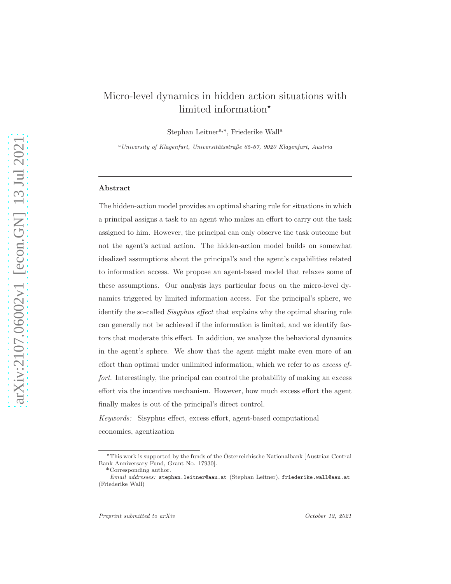# Micro-level dynamics in hidden action situations with limited information<sup>\*</sup>

Stephan Leitner<sup>a,\*</sup>, Friederike Wall<sup>a</sup>

 $a$ University of Klagenfurt, Universitätsstraße 65-67, 9020 Klagenfurt, Austria

#### Abstract

The hidden-action model provides an optimal sharing rule for situations in which a principal assigns a task to an agent who makes an effort to carry out the task assigned to him. However, the principal can only observe the task outcome but not the agent's actual action. The hidden-action model builds on somewhat idealized assumptions about the principal's and the agent's capabilities related to information access. We propose an agent-based model that relaxes some of these assumptions. Our analysis lays particular focus on the micro-level dynamics triggered by limited information access. For the principal's sphere, we identify the so-called Sisyphus effect that explains why the optimal sharing rule can generally not be achieved if the information is limited, and we identify factors that moderate this effect. In addition, we analyze the behavioral dynamics in the agent's sphere. We show that the agent might make even more of an effort than optimal under unlimited information, which we refer to as excess effort. Interestingly, the principal can control the probability of making an excess effort via the incentive mechanism. However, how much excess effort the agent finally makes is out of the principal's direct control.

Keywords: Sisyphus effect, excess effort, agent-based computational economics, agentization

 $*$ This work is supported by the funds of the Österreichische Nationalbank [Austrian Central Bank Anniversary Fund, Grant No. 17930].

<sup>˚</sup>Corresponding author.

Email addresses: stephan.leitner@aau.at (Stephan Leitner), friederike.wall@aau.at (Friederike Wall)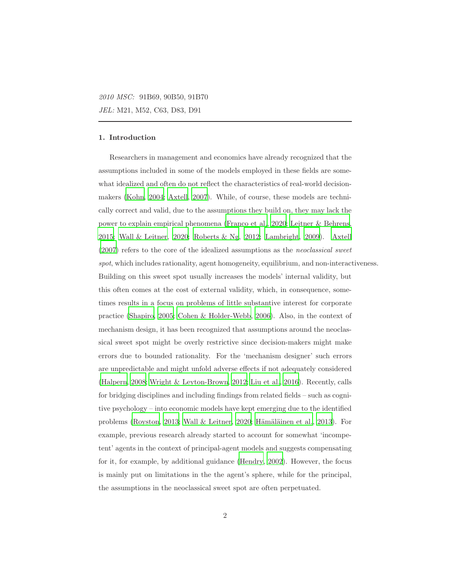#### 1. Introduction

Researchers in management and economics have already recognized that the assumptions included in some of the models employed in these fields are somewhat idealized and often do not reflect the characteristics of real-world decisionmakers [\(Kohn, 2004;](#page-50-0) [Axtell, 2007\)](#page-44-0). While, of course, these models are technically correct and valid, due to the assumptions they build on, they may lack the power to explain empirical phenomena [\(Franco et al., 2020;](#page-47-0) Leitner [& Behrens,](#page-51-0) [2015;](#page-51-0) [Wall & Leitner](#page-54-0), [2020](#page-54-0); [Roberts & Ng](#page-52-0), [2012;](#page-52-0) [Lambright, 2009\)](#page-50-1). [Axtell](#page-44-0) [\(2007\)](#page-44-0) refers to the core of the idealized assumptions as the neoclassical sweet spot, which includes rationality, agent homogeneity, equilibrium, and non-interactiveness. Building on this sweet spot usually increases the models' internal validity, but this often comes at the cost of external validity, which, in consequence, sometimes results in a focus on problems of little substantive interest for corporate practice [\(Shapiro, 2005](#page-53-0); [Cohen & Holder-Webb, 2006](#page-46-0)). Also, in the context of mechanism design, it has been recognized that assumptions around the neoclassical sweet spot might be overly restrictive since decision-makers might make errors due to bounded rationality. For the 'mechanism designer' such errors are unpredictable and might unfold adverse effects if not adequately considered [\(Halpern, 2008;](#page-48-0) [Wright & Leyton-Brown, 2012;](#page-54-1) [Liu et al.](#page-51-1), [2016\)](#page-51-1). Recently, calls for bridging disciplines and including findings from related fields – such as cognitive psychology – into economic models have kept emerging due to the identified problems [\(Royston](#page-53-1), [2013;](#page-53-1) [Wall & Leitner, 2020;](#page-54-0) Hämäläinen et al., 2013). For example, previous research already started to account for somewhat 'incompetent' agents in the context of principal-agent models and suggests compensating for it, for example, by additional guidance [\(Hendry, 2002\)](#page-49-0). However, the focus is mainly put on limitations in the the agent's sphere, while for the principal, the assumptions in the neoclassical sweet spot are often perpetuated.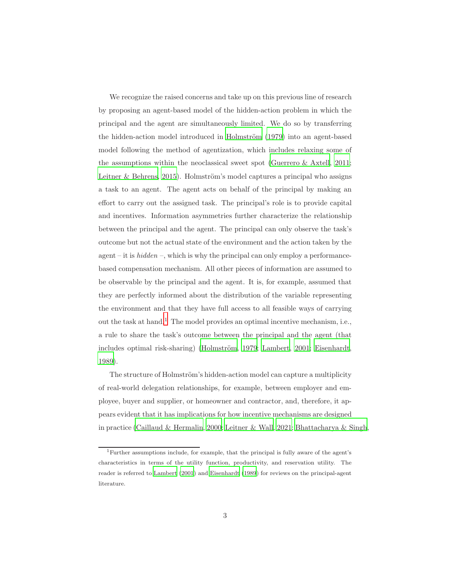We recognize the raised concerns and take up on this previous line of research by proposing an agent-based model of the hidden-action problem in which the principal and the agent are simultaneously limited. We do so by transferring the hidden-action model introduced in Holmström (1979) into an agent-based model following the method of agentization, which includes relaxing some of the assumptions within the neoclassical sweet spot [\(Guerrero & Axtell, 2011;](#page-48-2) [Leitner & Behrens](#page-51-0), [2015\)](#page-51-0). Holmström's model captures a principal who assigns a task to an agent. The agent acts on behalf of the principal by making an effort to carry out the assigned task. The principal's role is to provide capital and incentives. Information asymmetries further characterize the relationship between the principal and the agent. The principal can only observe the task's outcome but not the actual state of the environment and the action taken by the agent – it is  $hidden$  –, which is why the principal can only employ a performancebased compensation mechanism. All other pieces of information are assumed to be observable by the principal and the agent. It is, for example, assumed that they are perfectly informed about the distribution of the variable representing the environment and that they have full access to all feasible ways of carrying out the task at hand.[1](#page-2-0) The model provides an optimal incentive mechanism, i.e., a rule to share the task's outcome between the principal and the agent (that includes optimal risk-sharing) (Holmström, 1979; [Lambert](#page-50-2), [2001;](#page-50-2) [Eisenhardt,](#page-47-1) [1989\)](#page-47-1).

The structure of Holmström's hidden-action model can capture a multiplicity of real-world delegation relationships, for example, between employer and employee, buyer and supplier, or homeowner and contractor, and, therefore, it appears evident that it has implications for how incentive mechanisms are designed in practice [\(Caillaud & Hermalin, 2000;](#page-45-0) [Leitner & Wall](#page-51-2), [2021](#page-51-2); [Bhattacharya & Singh,](#page-45-1)

<span id="page-2-0"></span><sup>1</sup>Further assumptions include, for example, that the principal is fully aware of the agent's characteristics in terms of the utility function, productivity, and reservation utility. The reader is referred to [Lambert \(2001](#page-50-2)) and [Eisenhardt \(1989](#page-47-1)) for reviews on the principal-agent literature.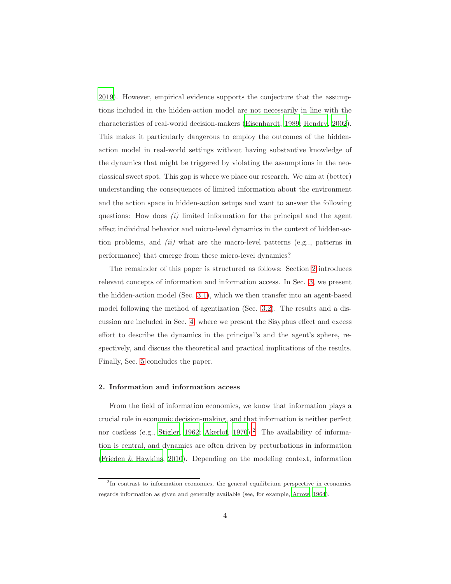[2019\)](#page-45-1). However, empirical evidence supports the conjecture that the assumptions included in the hidden-action model are not necessarily in line with the characteristics of real-world decision-makers [\(Eisenhardt](#page-47-1), [1989;](#page-47-1) [Hendry, 2002\)](#page-49-0). This makes it particularly dangerous to employ the outcomes of the hiddenaction model in real-world settings without having substantive knowledge of the dynamics that might be triggered by violating the assumptions in the neoclassical sweet spot. This gap is where we place our research. We aim at (better) understanding the consequences of limited information about the environment and the action space in hidden-action setups and want to answer the following questions: How does  $(i)$  limited information for the principal and the agent affect individual behavior and micro-level dynamics in the context of hidden-action problems, and (ii) what are the macro-level patterns (e.g.., patterns in performance) that emerge from these micro-level dynamics?

The remainder of this paper is structured as follows: Section [2](#page-3-0) introduces relevant concepts of information and information access. In Sec. [3,](#page-7-0) we present the hidden-action model (Sec. [3.1\)](#page-8-0), which we then transfer into an agent-based model following the method of agentization (Sec. [3.2\)](#page-10-0). The results and a discussion are included in Sec. [4,](#page-19-0) where we present the Sisyphus effect and excess effort to describe the dynamics in the principal's and the agent's sphere, respectively, and discuss the theoretical and practical implications of the results. Finally, Sec. [5](#page-42-0) concludes the paper.

#### <span id="page-3-0"></span>2. Information and information access

From the field of information economics, we know that information plays a crucial role in economic decision-making, and that information is neither perfect nor costless (e.g., [Stigler](#page-54-2), [1962;](#page-54-2) [Akerlof](#page-44-1), [1970](#page-44-1)).<sup>[2](#page-3-1)</sup> The availability of information is central, and dynamics are often driven by perturbations in information [\(Frieden & Hawkins](#page-47-2), [2010\)](#page-47-2). Depending on the modeling context, information

<span id="page-3-1"></span><sup>&</sup>lt;sup>2</sup>In contrast to information economics, the general equilibrium perspective in economics regards information as given and generally available (see, for example, [Arrow, 1964](#page-44-2)).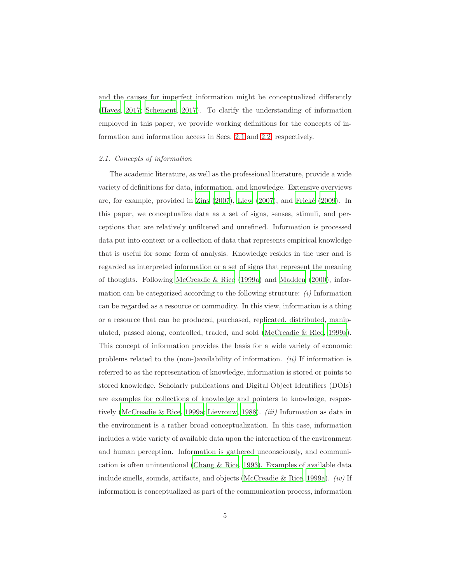and the causes for imperfect information might be conceptualized differently [\(Hayes](#page-49-2), [2017;](#page-49-2) [Schement](#page-53-2), [2017\)](#page-53-2). To clarify the understanding of information employed in this paper, we provide working definitions for the concepts of information and information access in Secs. [2.1](#page-4-0) and [2.2,](#page-5-0) respectively.

#### <span id="page-4-0"></span>2.1. Concepts of information

The academic literature, as well as the professional literature, provide a wide variety of definitions for data, information, and knowledge. Extensive overviews are, for example, provided in Zins  $(2007)$ , Liew  $(2007)$ , and Frické  $(2009)$ . In this paper, we conceptualize data as a set of signs, senses, stimuli, and perceptions that are relatively unfiltered and unrefined. Information is processed data put into context or a collection of data that represents empirical knowledge that is useful for some form of analysis. Knowledge resides in the user and is regarded as interpreted information or a set of signs that represent the meaning of thoughts. Following [McCreadie & Rice \(1999a\)](#page-52-1) and [Madden \(2000](#page-51-4)), information can be categorized according to the following structure:  $(i)$  Information can be regarded as a resource or commodity. In this view, information is a thing or a resource that can be produced, purchased, replicated, distributed, manipulated, passed along, controlled, traded, and sold [\(McCreadie & Rice](#page-52-1), [1999a\)](#page-52-1). This concept of information provides the basis for a wide variety of economic problems related to the (non-)availability of information.  $(ii)$  If information is referred to as the representation of knowledge, information is stored or points to stored knowledge. Scholarly publications and Digital Object Identifiers (DOIs) are examples for collections of knowledge and pointers to knowledge, respec-tively [\(McCreadie & Rice](#page-52-1), [1999a;](#page-52-1) [Lievrouw, 1988\)](#page-51-5). *(iii)* Information as data in the environment is a rather broad conceptualization. In this case, information includes a wide variety of available data upon the interaction of the environment and human perception. Information is gathered unconsciously, and communication is often unintentional [\(Chang & Rice](#page-45-2), [1993](#page-45-2)). Examples of available data include smells, sounds, artifacts, and objects [\(McCreadie & Rice](#page-52-1), [1999a\)](#page-52-1). (iv) If information is conceptualized as part of the communication process, information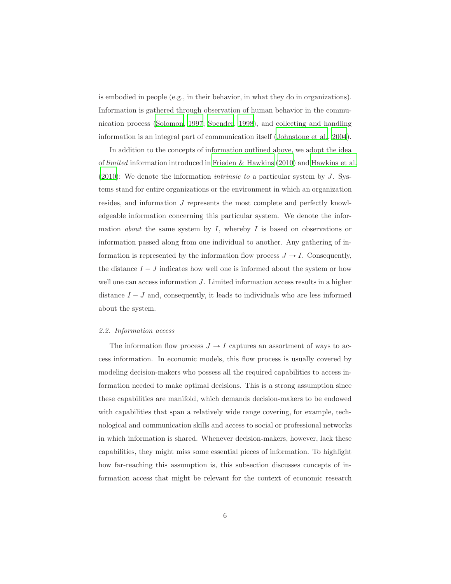is embodied in people (e.g., in their behavior, in what they do in organizations). Information is gathered through observation of human behavior in the communication process [\(Solomon, 1997;](#page-53-3) [Spender, 1998](#page-54-3)), and collecting and handling information is an integral part of communication itself [\(Johnstone et al.](#page-50-3), [2004\)](#page-50-3).

In addition to the concepts of information outlined above, we adopt the idea of limited information introduced in [Frieden & Hawkins \(2010](#page-47-2)) and [Hawkins et al.](#page-49-3)  $(2010)$ : We denote the information *intrinsic to* a particular system by J. Systems stand for entire organizations or the environment in which an organization resides, and information J represents the most complete and perfectly knowledgeable information concerning this particular system. We denote the information *about* the same system by  $I$ , whereby  $I$  is based on observations or information passed along from one individual to another. Any gathering of information is represented by the information flow process  $J \rightarrow I$ . Consequently, the distance  $I - J$  indicates how well one is informed about the system or how well one can access information  $J$ . Limited information access results in a higher distance  $I - J$  and, consequently, it leads to individuals who are less informed about the system.

#### <span id="page-5-0"></span>2.2. Information access

The information flow process  $J \to I$  captures an assortment of ways to access information. In economic models, this flow process is usually covered by modeling decision-makers who possess all the required capabilities to access information needed to make optimal decisions. This is a strong assumption since these capabilities are manifold, which demands decision-makers to be endowed with capabilities that span a relatively wide range covering, for example, technological and communication skills and access to social or professional networks in which information is shared. Whenever decision-makers, however, lack these capabilities, they might miss some essential pieces of information. To highlight how far-reaching this assumption is, this subsection discusses concepts of information access that might be relevant for the context of economic research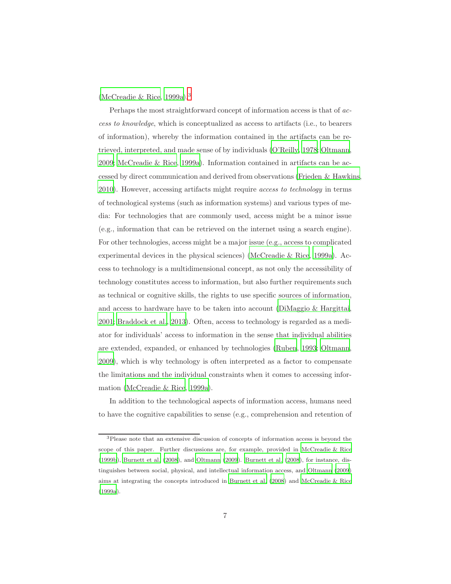[\(McCreadie & Rice, 1999a\)](#page-52-1).[3](#page-6-0)

Perhaps the most straightforward concept of information access is that of access to knowledge, which is conceptualized as access to artifacts (i.e., to bearers of information), whereby the information contained in the artifacts can be retrieved, interpreted, and made sense of by individuals [\(O'Reilly](#page-52-2), [1978;](#page-52-2) [Oltmann,](#page-52-3) [2009;](#page-52-3) [McCreadie & Rice, 1999a\)](#page-52-1). Information contained in artifacts can be accessed by direct communication and derived from observations [\(Frieden & Hawkins,](#page-47-2) [2010\)](#page-47-2). However, accessing artifacts might require access to technology in terms of technological systems (such as information systems) and various types of media: For technologies that are commonly used, access might be a minor issue (e.g., information that can be retrieved on the internet using a search engine). For other technologies, access might be a major issue (e.g., access to complicated experimental devices in the physical sciences) [\(McCreadie & Rice, 1999a\)](#page-52-1). Access to technology is a multidimensional concept, as not only the accessibility of technology constitutes access to information, but also further requirements such as technical or cognitive skills, the rights to use specific sources of information, and access to hardware have to be taken into account [\(DiMaggio & Hargittai,](#page-46-1) [2001;](#page-46-1) [Braddock et al., 2013\)](#page-45-3). Often, access to technology is regarded as a mediator for individuals' access to information in the sense that individual abilities are extended, expanded, or enhanced by technologies [\(Ruben](#page-53-4), [1993;](#page-53-4) [Oltmann,](#page-52-3) [2009\)](#page-52-3), which is why technology is often interpreted as a factor to compensate the limitations and the individual constraints when it comes to accessing information [\(McCreadie & Rice, 1999a\)](#page-52-1).

In addition to the technological aspects of information access, humans need to have the cognitive capabilities to sense (e.g., comprehension and retention of

<span id="page-6-0"></span><sup>3</sup>Please note that an extensive discussion of concepts of information access is beyond the scope of this paper. Further discussions are, for example, provided in [McCreadie & Rice](#page-52-4) [\(1999b\)](#page-52-4), [Burnett et al. \(2008](#page-45-4)), and [Oltmann \(2009\)](#page-52-3). [Burnett](#page-45-4) et al. [\(2008\)](#page-45-4), for instance, distinguishes between social, physical, and intellectual information access, and [Oltmann \(2009](#page-52-3)) aims at integrating the concepts introduced in [Burnett et al. \(2008\)](#page-45-4) and [McCreadie & Rice](#page-52-1) [\(1999a](#page-52-1)).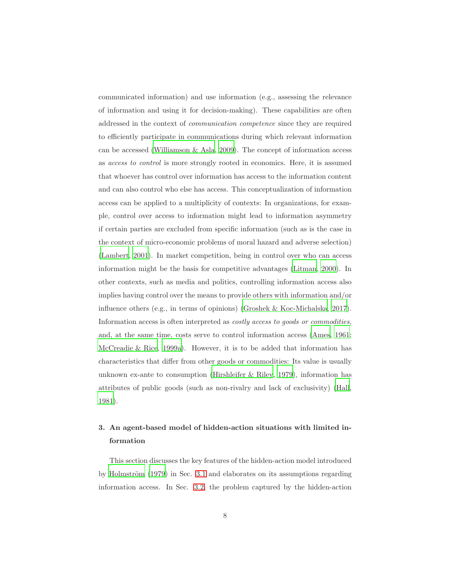communicated information) and use information (e.g., assessing the relevance of information and using it for decision-making). These capabilities are often addressed in the context of communication competence since they are required to efficiently participate in communications during which relevant information can be accessed [\(Williamson & Asla, 2009\)](#page-54-4). The concept of information access as access to control is more strongly rooted in economics. Here, it is assumed that whoever has control over information has access to the information content and can also control who else has access. This conceptualization of information access can be applied to a multiplicity of contexts: In organizations, for example, control over access to information might lead to information asymmetry if certain parties are excluded from specific information (such as is the case in the context of micro-economic problems of moral hazard and adverse selection) [\(Lambert, 2001](#page-50-2)). In market competition, being in control over who can access information might be the basis for competitive advantages [\(Litman,](#page-51-6) [2000](#page-51-6)). In other contexts, such as media and politics, controlling information access also implies having control over the means to provide others with information and/or influence others (e.g., in terms of opinions) [\(Groshek & Koc-Michalska, 2017\)](#page-48-3). Information access is often interpreted as costly access to goods or commodities, and, at the same time, costs serve to control information access [\(Ames](#page-44-3), [1961;](#page-44-3) [McCreadie & Rice, 1999a\)](#page-52-1). However, it is to be added that information has characteristics that differ from other goods or commodities: Its value is usually unknown ex-ante to consumption [\(Hirshleifer & Riley, 1979\)](#page-49-4), information has attributes of public goods (such as non-rivalry and lack of exclusivity) [\(Hall,](#page-48-4) [1981\)](#page-48-4).

## <span id="page-7-0"></span>3. An agent-based model of hidden-action situations with limited information

This section discusses the key features of the hidden-action model introduced by Holmström  $(1979)$  in Sec. [3.1](#page-8-0) and elaborates on its assumptions regarding information access. In Sec. [3.2,](#page-10-0) the problem captured by the hidden-action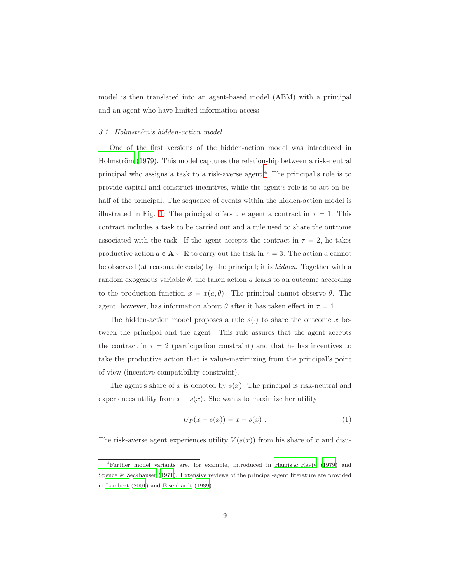<span id="page-8-0"></span>model is then translated into an agent-based model (ABM) with a principal and an agent who have limited information access.

#### 3.1. Holmström's hidden-action model

One of the first versions of the hidden-action model was introduced in Holmström (1979). This model captures the relationship between a risk-neutral principal who assigns a task to a risk-averse agent.[4](#page-8-1) The principal's role is to provide capital and construct incentives, while the agent's role is to act on behalf of the principal. The sequence of events within the hidden-action model is illustrated in Fig. [1:](#page-9-0) The principal offers the agent a contract in  $\tau = 1$ . This contract includes a task to be carried out and a rule used to share the outcome associated with the task. If the agent accepts the contract in  $\tau = 2$ , he takes productive action  $a \in A \subseteq \mathbb{R}$  to carry out the task in  $\tau = 3$ . The action a cannot be observed (at reasonable costs) by the principal; it is hidden. Together with a random exogenous variable  $\theta$ , the taken action a leads to an outcome according to the production function  $x = x(a, \theta)$ . The principal cannot observe  $\theta$ . The agent, however, has information about  $\theta$  after it has taken effect in  $\tau = 4$ .

The hidden-action model proposes a rule  $s(\cdot)$  to share the outcome x between the principal and the agent. This rule assures that the agent accepts the contract in  $\tau = 2$  (participation constraint) and that he has incentives to take the productive action that is value-maximizing from the principal's point of view (incentive compatibility constraint).

The agent's share of x is denoted by  $s(x)$ . The principal is risk-neutral and experiences utility from  $x - s(x)$ . She wants to maximize her utility

$$
U_P(x - s(x)) = x - s(x) . \t\t(1)
$$

The risk-averse agent experiences utility  $V(s(x))$  from his share of x and disu-

<span id="page-8-1"></span><sup>&</sup>lt;sup>4</sup>Further model variants are, for example, introduced in [Harris & Raviv \(1979](#page-49-5)) and [Spence & Zeckhauser \(1971](#page-54-5)). Extensive reviews of the principal-agent literature are provided in [Lambert \(2001](#page-50-2)) and [Eisenhardt \(1989](#page-47-1)).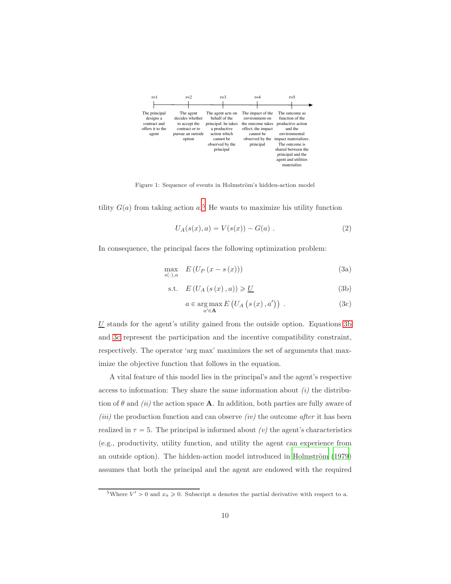

<span id="page-9-0"></span>Figure 1: Sequence of events in Holmström's hidden-action model

tility  $G(a)$  from taking action  $a$ <sup>[5](#page-9-1)</sup>. He wants to maximize his utility function

$$
U_A(s(x),a) = V(s(x)) - G(a) . \t\t(2)
$$

In consequence, the principal faces the following optimization problem:

$$
\max_{s(\cdot),a} E\left(U_P\left(x-s\left(x\right)\right)\right) \tag{3a}
$$

$$
s.t. \tE(U_A(s(x), a)) \geq \underline{U}
$$
\n(3b)

<span id="page-9-4"></span><span id="page-9-3"></span><span id="page-9-2"></span>
$$
a \in \underset{a' \in \mathbf{A}}{\arg \max} E\left(U_A\left(s\left(x\right), a'\right)\right) \tag{3c}
$$

 $U$  stands for the agent's utility gained from the outside option. Equations [3b](#page-9-2) and [3c](#page-9-3) represent the participation and the incentive compatibility constraint, respectively. The operator 'arg max' maximizes the set of arguments that maximize the objective function that follows in the equation.

A vital feature of this model lies in the principal's and the agent's respective access to information: They share the same information about  $(i)$  the distribution of  $\theta$  and *(ii)* the action space **A**. In addition, both parties are fully aware of (iii) the production function and can observe (iv) the outcome after it has been realized in  $\tau = 5$ . The principal is informed about (v) the agent's characteristics (e.g., productivity, utility function, and utility the agent can experience from an outside option). The hidden-action model introduced in Holmström (1979) assumes that both the principal and the agent are endowed with the required

<span id="page-9-1"></span><sup>&</sup>lt;sup>5</sup>Where  $V' > 0$  and  $x_a \ge 0$ . Subscript a denotes the partial derivative with respect to a.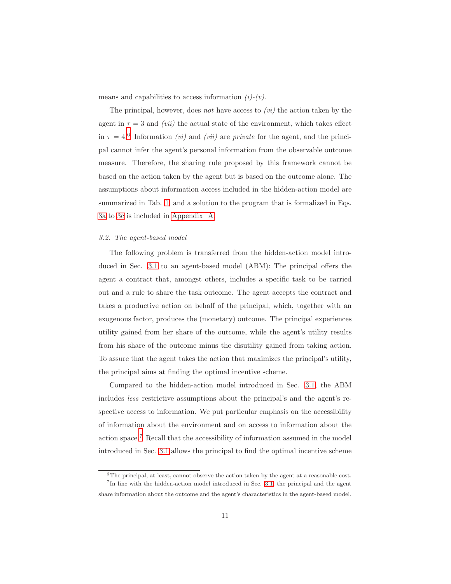means and capabilities to access information  $(i)-(v)$ .

The principal, however, does not have access to  $(vi)$  the action taken by the agent in  $\tau = 3$  and *(vii)* the actual state of the environment, which takes effect in  $\tau = 4.6$  $\tau = 4.6$  Information *(vi)* and *(vii)* are *private* for the agent, and the principal cannot infer the agent's personal information from the observable outcome measure. Therefore, the sharing rule proposed by this framework cannot be based on the action taken by the agent but is based on the outcome alone. The assumptions about information access included in the hidden-action model are summarized in Tab. [1,](#page-15-0) and a solution to the program that is formalized in Eqs. [3a](#page-9-4) to [3c](#page-9-3) is included in [Appendix A.](#page-56-0)

#### <span id="page-10-0"></span>3.2. The agent-based model

The following problem is transferred from the hidden-action model introduced in Sec. [3.1](#page-8-0) to an agent-based model (ABM): The principal offers the agent a contract that, amongst others, includes a specific task to be carried out and a rule to share the task outcome. The agent accepts the contract and takes a productive action on behalf of the principal, which, together with an exogenous factor, produces the (monetary) outcome. The principal experiences utility gained from her share of the outcome, while the agent's utility results from his share of the outcome minus the disutility gained from taking action. To assure that the agent takes the action that maximizes the principal's utility, the principal aims at finding the optimal incentive scheme.

Compared to the hidden-action model introduced in Sec. [3.1,](#page-8-0) the ABM includes less restrictive assumptions about the principal's and the agent's respective access to information. We put particular emphasis on the accessibility of information about the environment and on access to information about the action space.[7](#page-10-2) Recall that the accessibility of information assumed in the model introduced in Sec. [3.1](#page-8-0) allows the principal to find the optimal incentive scheme

<span id="page-10-1"></span> $6$ The principal, at least, cannot observe the action taken by the agent at a reasonable cost. <sup>7</sup>In line with the hidden-action model introduced in Sec. [3.1,](#page-8-0) the principal and the agent

<span id="page-10-2"></span>share information about the outcome and the agent's characteristics in the agent-based model.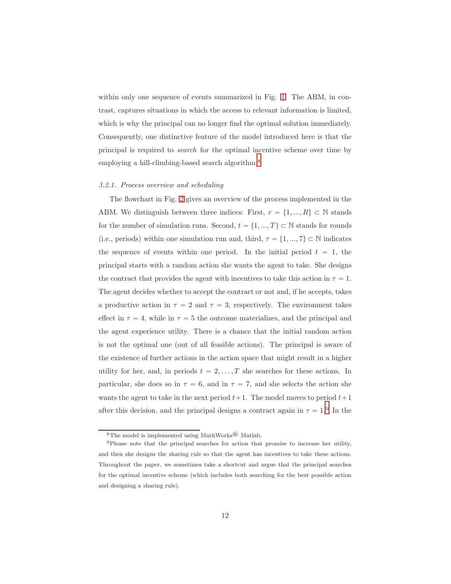within only one sequence of events summarized in Fig. [1.](#page-9-0) The ABM, in contrast, captures situations in which the access to relevant information is limited, which is why the principal can no longer find the optimal solution immediately. Consequently, one distinctive feature of the model introduced here is that the principal is required to search for the optimal incentive scheme over time by employing a hill-climbing-based search algorithm.<sup>[8](#page-11-0)</sup>

#### 3.2.1. Process overview and scheduling

The flowchart in Fig. [2](#page-13-0) gives an overview of the process implemented in the ABM. We distinguish between three indices: First,  $r = \{1, ..., R\} \subset \mathbb{N}$  stands for the number of simulation runs. Second,  $t = \{1, ..., T\} \subset \mathbb{N}$  stands for rounds (i.e., periods) within one simulation run and, third,  $\tau = \{1, ..., 7\} \subset \mathbb{N}$  indicates the sequence of events within one period. In the initial period  $t = 1$ , the principal starts with a random action she wants the agent to take. She designs the contract that provides the agent with incentives to take this action in  $\tau = 1$ . The agent decides whether to accept the contract or not and, if he accepts, takes a productive action in  $\tau = 2$  and  $\tau = 3$ , respectively. The environment takes effect in  $\tau = 4$ , while in  $\tau = 5$  the outcome materializes, and the principal and the agent experience utility. There is a chance that the initial random action is not the optimal one (out of all feasible actions). The principal is aware of the existence of further actions in the action space that might result in a higher utility for her, and, in periods  $t = 2, \ldots, T$  she searches for these actions. In particular, she does so in  $\tau = 6$ , and in  $\tau = 7$ , and she selects the action she wants the agent to take in the next period  $t+1$ . The model moves to period  $t+1$ after this decision, and the principal designs a contract again in  $\tau = 1.9$  $\tau = 1.9$  In the

<span id="page-11-0"></span><sup>&</sup>lt;sup>8</sup>The model is implemented using MathWorks<sup>®</sup> Matlab.

<span id="page-11-1"></span><sup>9</sup>Please note that the principal searches for action that promise to increase her utility, and then she designs the sharing rule so that the agent has incentives to take these actions. Throughout the paper, we sometimes take a shortcut and argue that the principal searches for the optimal incentive scheme (which includes both searching for the best possible action and designing a sharing rule).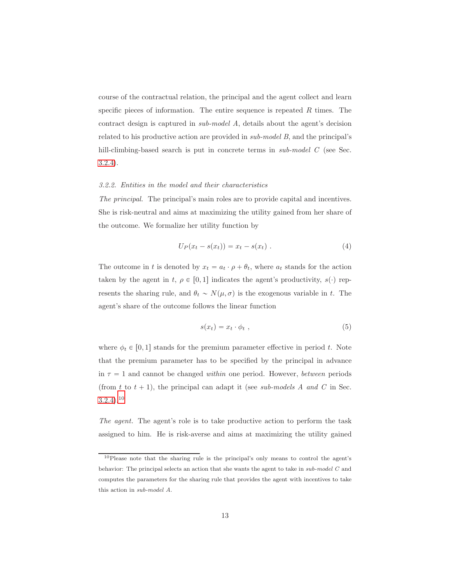course of the contractual relation, the principal and the agent collect and learn specific pieces of information. The entire sequence is repeated  $R$  times. The contract design is captured in sub-model A, details about the agent's decision related to his productive action are provided in sub-model B, and the principal's hill-climbing-based search is put in concrete terms in *sub-model C* (see Sec. [3.2.4\)](#page-18-0).

## 3.2.2. Entities in the model and their characteristics

The principal. The principal's main roles are to provide capital and incentives. She is risk-neutral and aims at maximizing the utility gained from her share of the outcome. We formalize her utility function by

<span id="page-12-2"></span>
$$
U_P(x_t - s(x_t)) = x_t - s(x_t) . \t\t(4)
$$

The outcome in t is denoted by  $x_t = a_t \cdot \rho + \theta_t$ , where  $a_t$  stands for the action taken by the agent in t,  $\rho \in [0, 1]$  indicates the agent's productivity,  $s(\cdot)$  represents the sharing rule, and  $\theta_t \sim N(\mu, \sigma)$  is the exogenous variable in t. The agent's share of the outcome follows the linear function

<span id="page-12-1"></span>
$$
s(x_t) = x_t \cdot \phi_t \t\t(5)
$$

where  $\phi_t \in [0, 1]$  stands for the premium parameter effective in period t. Note that the premium parameter has to be specified by the principal in advance in  $\tau = 1$  and cannot be changed within one period. However, between periods (from t to  $t + 1$ ), the principal can adapt it (see sub-models A and C in Sec.  $3.2.4$ ).<sup>[10](#page-12-0)</sup>

The agent. The agent's role is to take productive action to perform the task assigned to him. He is risk-averse and aims at maximizing the utility gained

<span id="page-12-0"></span><sup>10</sup>Please note that the sharing rule is the principal's only means to control the agent's behavior: The principal selects an action that she wants the agent to take in sub-model C and computes the parameters for the sharing rule that provides the agent with incentives to take this action in sub-model A.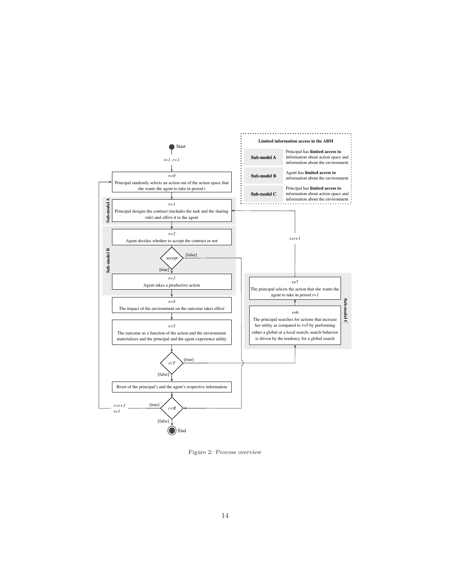

<span id="page-13-0"></span>Figure 2: Process overview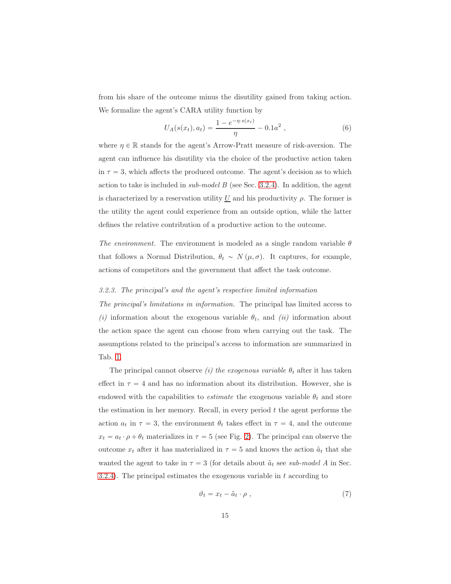from his share of the outcome minus the disutility gained from taking action. We formalize the agent's CARA utility function by

$$
U_A(s(x_t), a_t) = \frac{1 - e^{-\eta \cdot s(x_t)}}{\eta} - 0.1a^2 , \qquad (6)
$$

where  $\eta \in \mathbb{R}$  stands for the agent's Arrow-Pratt measure of risk-aversion. The agent can influence his disutility via the choice of the productive action taken in  $\tau = 3$ , which affects the produced outcome. The agent's decision as to which action to take is included in  $sub-model$   $B$  (see Sec. [3.2.4\)](#page-18-0). In addition, the agent is characterized by a reservation utility  $U$  and his productivity  $\rho$ . The former is the utility the agent could experience from an outside option, while the latter defines the relative contribution of a productive action to the outcome.

The environment. The environment is modeled as a single random variable  $\theta$ that follows a Normal Distribution,  $\theta_t \sim N(\mu, \sigma)$ . It captures, for example, actions of competitors and the government that affect the task outcome.

#### <span id="page-14-0"></span>3.2.3. The principal's and the agent's respective limited information

The principal's limitations in information. The principal has limited access to (i) information about the exogenous variable  $\theta_t$ , and (ii) information about the action space the agent can choose from when carrying out the task. The assumptions related to the principal's access to information are summarized in Tab. [1.](#page-15-0)

The principal cannot observe *(i)* the exogenous variable  $\theta_t$  after it has taken effect in  $\tau = 4$  and has no information about its distribution. However, she is endowed with the capabilities to *estimate* the exogenous variable  $\theta_t$  and store the estimation in her memory. Recall, in every period  $t$  the agent performs the action  $a_t$  in  $\tau = 3$ , the environment  $\theta_t$  takes effect in  $\tau = 4$ , and the outcome  $x_t = a_t \cdot \rho + \theta_t$  materializes in  $\tau = 5$  (see Fig. [2\)](#page-13-0). The principal can observe the outcome  $x_t$  after it has materialized in  $\tau = 5$  and knows the action  $\tilde{a}_t$  that she wanted the agent to take in  $\tau = 3$  (for details about  $\tilde{a}_t$  see sub-model A in Sec. [3.2.4\)](#page-18-0). The principal estimates the exogenous variable in  $t$  according to

$$
\vartheta_t = x_t - \tilde{a}_t \cdot \rho \t{7}
$$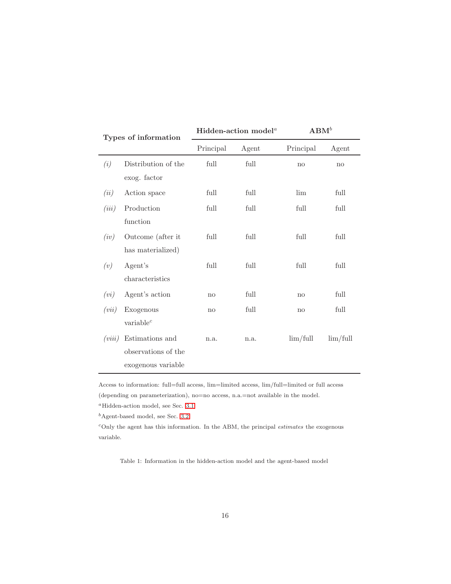| Types of information |                                                              |           | Hidden-action model <sup>a</sup> | $\mathbf{ABM}^{b}$ |                        |  |  |
|----------------------|--------------------------------------------------------------|-----------|----------------------------------|--------------------|------------------------|--|--|
|                      |                                                              | Principal | Agent                            | Principal          | Agent                  |  |  |
| (i)                  | Distribution of the<br>exog. factor                          | full      | full                             | no                 | $\mathbf{n}\mathbf{o}$ |  |  |
| (ii)                 | Action space                                                 | full      | full                             | lim                | full                   |  |  |
| (iii)                | Production<br>function                                       | full      | full                             | full               | full                   |  |  |
| (iv)                 | Outcome (after it<br>has materialized)                       | full      | full                             | full               | full                   |  |  |
| (v)                  | Agent's<br>characteristics                                   | full      | full                             | full               | full                   |  |  |
| (vi)                 | Agent's action                                               | no        | full                             | no                 | full                   |  |  |
| (vii)                | Exogenous<br>variable <sup>c</sup>                           | no        | full                             | no                 | full                   |  |  |
| (viii)               | Estimations and<br>observations of the<br>exogenous variable | n.a.      | n.a.                             | $\lim/\text{full}$ | $\lim/\text{full}$     |  |  |

Access to information: full=full access, lim=limited access, lim/full=limited or full access (depending on parameterization), no=no access, n.a.=not available in the model.

<sup>a</sup>Hidden-action model, see Sec. [3.1.](#page-8-0)

 $<sup>b</sup>$ Agent-based model, see Sec. [3.2.](#page-10-0)</sup>

 $c$ Only the agent has this information. In the ABM, the principal *estimates* the exogenous variable.

<span id="page-15-0"></span>Table 1: Information in the hidden-action model and the agent-based model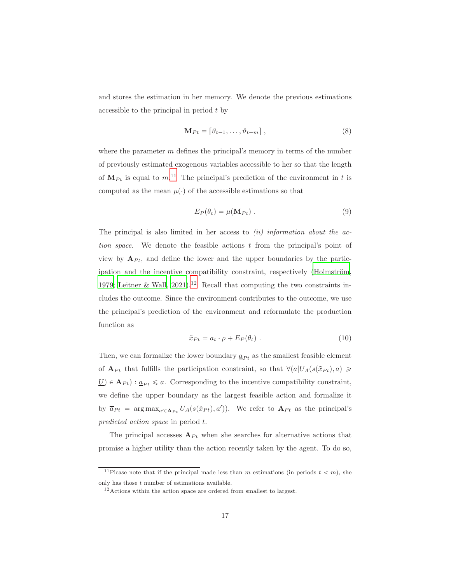and stores the estimation in her memory. We denote the previous estimations accessible to the principal in period t by

$$
\mathbf{M}_{Pt} = \left[\vartheta_{t-1}, \dots, \vartheta_{t-m}\right],\tag{8}
$$

where the parameter  $m$  defines the principal's memory in terms of the number of previously estimated exogenous variables accessible to her so that the length of  $M_{Pt}$  is equal to  $m<sup>11</sup>$  $m<sup>11</sup>$  $m<sup>11</sup>$ . The principal's prediction of the environment in t is computed as the mean  $\mu(\cdot)$  of the accessible estimations so that

$$
E_P(\theta_t) = \mu(\mathbf{M}_{Pt}) \ . \tag{9}
$$

The principal is also limited in her access to  $(ii)$  information about the action space. We denote the feasible actions  $t$  from the principal's point of view by  $A_{Pt}$ , and define the lower and the upper boundaries by the participation and the incentive compatibility constraint, respectively (Holmström, [1979;](#page-49-1) [Leitner & Wall, 2021\)](#page-51-2).<sup>[12](#page-16-1)</sup> Recall that computing the two constraints includes the outcome. Since the environment contributes to the outcome, we use the principal's prediction of the environment and reformulate the production function as

<span id="page-16-2"></span>
$$
\tilde{x}_{Pt} = a_t \cdot \rho + E_P(\theta_t) \tag{10}
$$

Then, we can formalize the lower boundary  $\underline{a}_{Pt}$  as the smallest feasible element of  $A_{Pt}$  that fulfills the participation constraint, so that  $\forall (a|U_A(s(\tilde{x}_{Pt}), a) \geq$  $\underline{U} \in A_{Pt}$  :  $\underline{a}_{Pt} \leq a$ . Corresponding to the incentive compatibility constraint, we define the upper boundary as the largest feasible action and formalize it by  $\overline{a}_{Pt} = \arg \max_{a' \in \mathbf{A}_{Pt}} U_A(s(\tilde{x}_{Pt}), a'))$ . We refer to  $\mathbf{A}_{Pt}$  as the principal's predicted action space in period t.

The principal accesses  $A_{Pt}$  when she searches for alternative actions that promise a higher utility than the action recently taken by the agent. To do so,

<sup>&</sup>lt;sup>11</sup>Please note that if the principal made less than m estimations (in periods  $t < m$ ), she only has those  $t$  number of estimations available.

<span id="page-16-1"></span><span id="page-16-0"></span><sup>&</sup>lt;sup>12</sup> Actions within the action space are ordered from smallest to largest.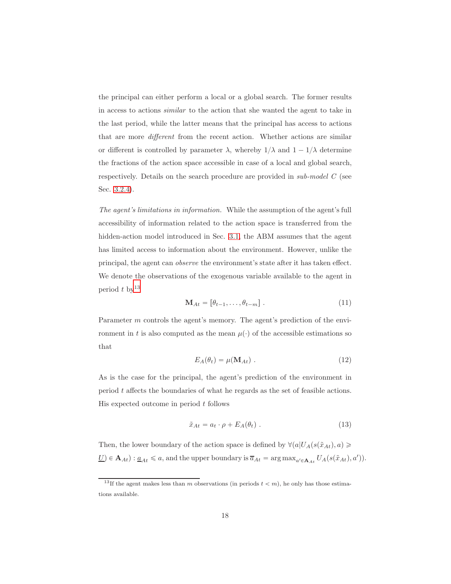the principal can either perform a local or a global search. The former results in access to actions similar to the action that she wanted the agent to take in the last period, while the latter means that the principal has access to actions that are more different from the recent action. Whether actions are similar or different is controlled by parameter  $\lambda$ , whereby  $1/\lambda$  and  $1 - 1/\lambda$  determine the fractions of the action space accessible in case of a local and global search, respectively. Details on the search procedure are provided in sub-model C (see Sec. [3.2.4\)](#page-18-0).

The agent's limitations in information. While the assumption of the agent's full accessibility of information related to the action space is transferred from the hidden-action model introduced in Sec. [3.1,](#page-8-0) the ABM assumes that the agent has limited access to information about the environment. However, unlike the principal, the agent can observe the environment's state after it has taken effect. We denote the observations of the exogenous variable available to the agent in period  $t$  by  $13$ 

$$
\mathbf{M}_{At} = \begin{bmatrix} \theta_{t-1}, \dots, \theta_{t-m} \end{bmatrix} . \tag{11}
$$

Parameter m controls the agent's memory. The agent's prediction of the environment in t is also computed as the mean  $\mu(\cdot)$  of the accessible estimations so that

$$
E_A(\theta_t) = \mu(\mathbf{M}_{At}) \tag{12}
$$

As is the case for the principal, the agent's prediction of the environment in period t affects the boundaries of what he regards as the set of feasible actions. His expected outcome in period  $t$  follows

<span id="page-17-1"></span>
$$
\tilde{x}_{At} = a_t \cdot \rho + E_A(\theta_t) \tag{13}
$$

Then, the lower boundary of the action space is defined by  $\forall (a|U_A(s(\tilde{x}_{At}), a) \geq$  $\underline{U}$   $\in$   $\mathbf{A}_{At}$ ) :  $\underline{a}_{At} \le a$ , and the upper boundary is  $\overline{a}_{At}$  =  $\arg \max_{a' \in \mathbf{A}_{At}} U_A(s(\tilde{x}_{At}), a'))$ .

<span id="page-17-0"></span><sup>&</sup>lt;sup>13</sup>If the agent makes less than m observations (in periods  $t < m$ ), he only has those estimations available.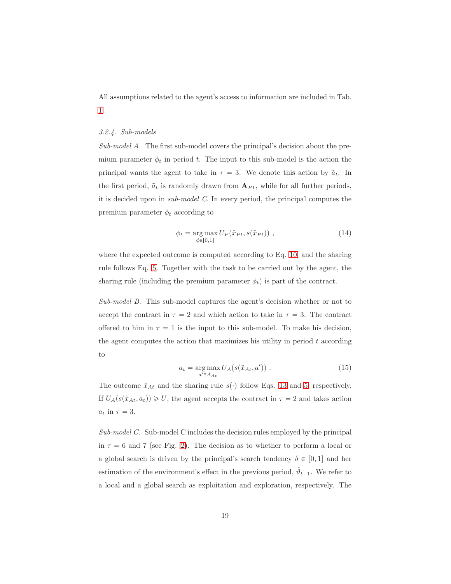<span id="page-18-0"></span>All assumptions related to the agent's access to information are included in Tab. [1.](#page-15-0)

### 3.2.4. Sub-models

Sub-model A. The first sub-model covers the principal's decision about the premium parameter  $\phi_t$  in period t. The input to this sub-model is the action the principal wants the agent to take in  $\tau = 3$ . We denote this action by  $\tilde{a}_t$ . In the first period,  $\tilde{a}_t$  is randomly drawn from  $A_{P1}$ , while for all further periods, it is decided upon in sub-model C. In every period, the principal computes the premium parameter  $\phi_t$  according to

$$
\phi_t = \underset{\phi \in [0,1]}{\arg \max} U_P(\tilde{x}_{Pt}, s(\tilde{x}_{Pt})) , \qquad (14)
$$

where the expected outcome is computed according to Eq. [10,](#page-16-2) and the sharing rule follows Eq. [5.](#page-12-1) Together with the task to be carried out by the agent, the sharing rule (including the premium parameter  $\phi_t$ ) is part of the contract.

Sub-model B. This sub-model captures the agent's decision whether or not to accept the contract in  $\tau = 2$  and which action to take in  $\tau = 3$ . The contract offered to him in  $\tau = 1$  is the input to this sub-model. To make his decision, the agent computes the action that maximizes his utility in period  $t$  according to

$$
a_t = \underset{a' \in A_{At}}{\arg \max} \, U_A(s(\tilde{x}_{At}, a')) \tag{15}
$$

The outcome  $\tilde{x}_{At}$  and the sharing rule  $s(\cdot)$  follow Eqs. [13](#page-17-1) and [5,](#page-12-1) respectively. If  $U_A(s(\tilde{x}_{At}, a_t)) \geq \underline{U}$ , the agent accepts the contract in  $\tau = 2$  and takes action  $a_t$  in  $\tau = 3$ .

Sub-model C. Sub-model C includes the decision rules employed by the principal in  $\tau = 6$  and 7 (see Fig. [2\)](#page-13-0). The decision as to whether to perform a local or a global search is driven by the principal's search tendency  $\delta \in [0, 1]$  and her estimation of the environment's effect in the previous period,  $\tilde{\vartheta}_{t-1}$ . We refer to a local and a global search as exploitation and exploration, respectively. The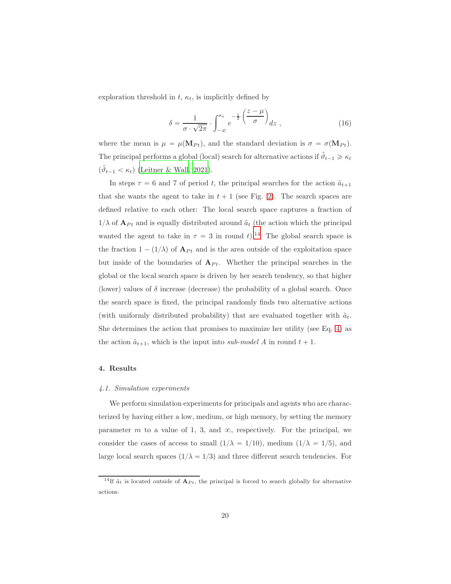exploration threshold in  $t$ ,  $\kappa_t$ , is implicitly defined by

$$
\delta = \frac{1}{\sigma \cdot \sqrt{2\pi}} \cdot \int_{-\infty}^{\kappa_t} e^{-\frac{1}{2} \cdot \left(\frac{z-\mu}{\sigma}\right)} dz \,, \tag{16}
$$

where the mean is  $\mu = \mu(\mathbf{M}_{Pt})$ , and the standard deviation is  $\sigma = \sigma(\mathbf{M}_{Pt})$ . The principal performs a global (local) search for alternative actions if  $\tilde{\vartheta}_{t-1} \geq \kappa_t$  $(\tilde{\vartheta}_{t-1} < \kappa_t)$  [\(Leitner & Wall](#page-51-2), [2021](#page-51-2)).

In steps  $\tau = 6$  and 7 of period t, the principal searches for the action  $\tilde{a}_{t+1}$ that she wants the agent to take in  $t + 1$  (see Fig. [2\)](#page-13-0). The search spaces are defined relative to each other: The local search space captures a fraction of  $1/\lambda$  of  $\mathbf{A}_{Pt}$  and is equally distributed around  $\tilde{a}_t$  (the action which the principal wanted the agent to take in  $\tau = 3$  in round t).<sup>[14](#page-19-1)</sup> The global search space is the fraction  $1 - (1/\lambda)$  of  $A_{Pt}$  and is the area outside of the exploitation space but inside of the boundaries of  $A_{Pt}$ . Whether the principal searches in the global or the local search space is driven by her search tendency, so that higher (lower) values of  $\delta$  increase (decrease) the probability of a global search. Once the search space is fixed, the principal randomly finds two alternative actions (with uniformly distributed probability) that are evaluated together with  $\tilde{a}_t$ . She determines the action that promises to maximize her utility (see Eq. [4\)](#page-12-2) as the action  $\tilde{a}_{t+1}$ , which is the input into sub-model A in round  $t + 1$ .

## <span id="page-19-0"></span>4. Results

#### 4.1. Simulation experiments

We perform simulation experiments for principals and agents who are characterized by having either a low, medium, or high memory, by setting the memory parameter m to a value of 1, 3, and  $\infty$ , respectively. For the principal, we consider the cases of access to small  $(1/\lambda = 1/10)$ , medium  $(1/\lambda = 1/5)$ , and large local search spaces  $(1/\lambda = 1/3)$  and three different search tendencies. For

<span id="page-19-1"></span><sup>&</sup>lt;sup>14</sup>If  $\tilde{a}_t$  is located outside of  $A_{Pt}$ , the principal is forced to search globally for alternative actions.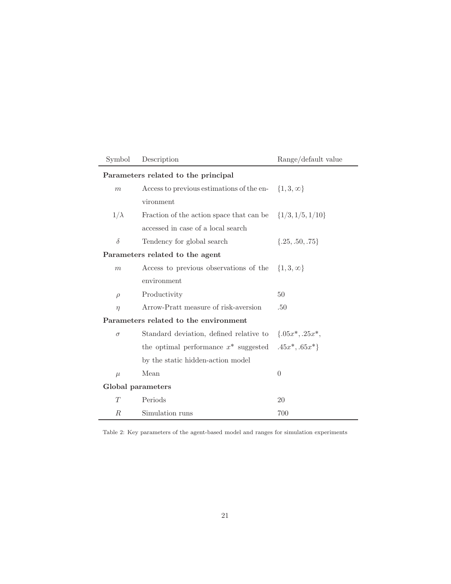| Symbol                              | Description                                                   | Range/default value |  |  |  |  |  |  |  |  |
|-------------------------------------|---------------------------------------------------------------|---------------------|--|--|--|--|--|--|--|--|
| Parameters related to the principal |                                                               |                     |  |  |  |  |  |  |  |  |
| m                                   | Access to previous estimations of the en- $\{1,3,\infty\}$    |                     |  |  |  |  |  |  |  |  |
|                                     | vironment                                                     |                     |  |  |  |  |  |  |  |  |
| $1/\lambda$                         | Fraction of the action space that can be $\{1/3, 1/5, 1/10\}$ |                     |  |  |  |  |  |  |  |  |
|                                     | accessed in case of a local search                            |                     |  |  |  |  |  |  |  |  |
| $\delta$                            | Tendency for global search                                    | $\{.25, .50, .75\}$ |  |  |  |  |  |  |  |  |
| Parameters related to the agent     |                                                               |                     |  |  |  |  |  |  |  |  |
| $\boldsymbol{m}$                    | Access to previous observations of the                        | $\{1,3,\infty\}$    |  |  |  |  |  |  |  |  |
|                                     | environment                                                   |                     |  |  |  |  |  |  |  |  |
| $\rho$                              | Productivity                                                  | 50                  |  |  |  |  |  |  |  |  |
| $\eta$                              | Arrow-Pratt measure of risk-aversion                          | .50                 |  |  |  |  |  |  |  |  |
|                                     | Parameters related to the environment                         |                     |  |  |  |  |  |  |  |  |
| $\sigma$                            | Standard deviation, defined relative to                       | $\{.05x^*, .25x^*,$ |  |  |  |  |  |  |  |  |
|                                     | the optimal performance $x^*$ suggested $.45x^*, .65x^*$      |                     |  |  |  |  |  |  |  |  |
|                                     | by the static hidden-action model                             |                     |  |  |  |  |  |  |  |  |
| $\mu$                               | Mean                                                          | $\overline{0}$      |  |  |  |  |  |  |  |  |
|                                     | Global parameters                                             |                     |  |  |  |  |  |  |  |  |
| T                                   | Periods                                                       | 20                  |  |  |  |  |  |  |  |  |
| R                                   | Simulation runs                                               | 700                 |  |  |  |  |  |  |  |  |

<span id="page-20-0"></span>Table 2: Key parameters of the agent-based model and ranges for simulation experiments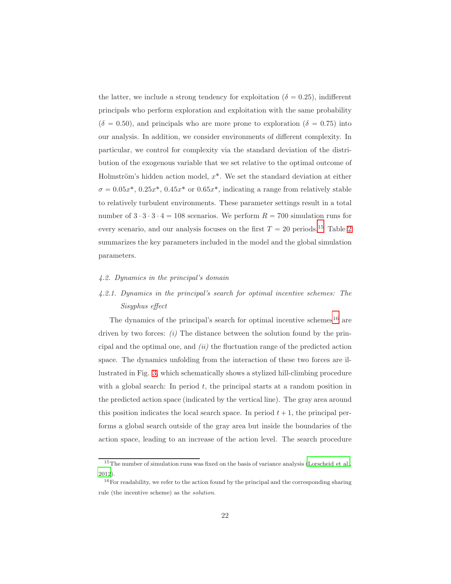the latter, we include a strong tendency for exploitation ( $\delta = 0.25$ ), indifferent principals who perform exploration and exploitation with the same probability  $(\delta = 0.50)$ , and principals who are more prone to exploration  $(\delta = 0.75)$  into our analysis. In addition, we consider environments of different complexity. In particular, we control for complexity via the standard deviation of the distribution of the exogenous variable that we set relative to the optimal outcome of Holmström's hidden action model,  $x^*$ . We set the standard deviation at either  $\sigma = 0.05x^*$ ,  $0.25x^*$ ,  $0.45x^*$  or  $0.65x^*$ , indicating a range from relatively stable to relatively turbulent environments. These parameter settings result in a total number of  $3 \cdot 3 \cdot 3 \cdot 4 = 108$  scenarios. We perform  $R = 700$  simulation runs for every scenario, and our analysis focuses on the first  $T = 20$  $T = 20$  $T = 20$  periods.<sup>[15](#page-21-0)</sup> Table 2 summarizes the key parameters included in the model and the global simulation parameters.

#### <span id="page-21-3"></span><span id="page-21-2"></span>4.2. Dynamics in the principal's domain

# 4.2.1. Dynamics in the principal's search for optimal incentive schemes: The Sisyphus effect

The dynamics of the principal's search for optimal incentive schemes<sup>[16](#page-21-1)</sup> are driven by two forces:  $(i)$  The distance between the solution found by the principal and the optimal one, and  $(ii)$  the fluctuation range of the predicted action space. The dynamics unfolding from the interaction of these two forces are illustrated in Fig. [3,](#page-23-0) which schematically shows a stylized hill-climbing procedure with a global search: In period  $t$ , the principal starts at a random position in the predicted action space (indicated by the vertical line). The gray area around this position indicates the local search space. In period  $t + 1$ , the principal performs a global search outside of the gray area but inside the boundaries of the action space, leading to an increase of the action level. The search procedure

<span id="page-21-0"></span><sup>&</sup>lt;sup>15</sup>The number of simulation runs was fixed on the basis of variance analysis [\(Lorscheid et al.](#page-51-7), [2012\)](#page-51-7).

<span id="page-21-1"></span><sup>&</sup>lt;sup>16</sup>For readability, we refer to the action found by the principal and the corresponding sharing rule (the incentive scheme) as the solution.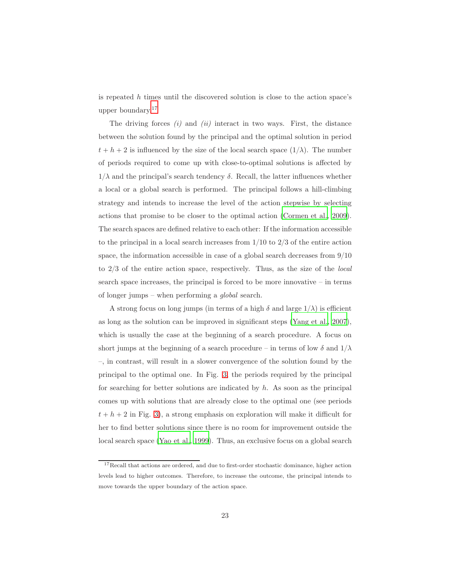is repeated  $h$  times until the discovered solution is close to the action space's upper boundary.[17](#page-22-0)

The driving forces  $(i)$  and  $(ii)$  interact in two ways. First, the distance between the solution found by the principal and the optimal solution in period  $t + h + 2$  is influenced by the size of the local search space  $(1/\lambda)$ . The number of periods required to come up with close-to-optimal solutions is affected by  $1/\lambda$  and the principal's search tendency  $\delta$ . Recall, the latter influences whether a local or a global search is performed. The principal follows a hill-climbing strategy and intends to increase the level of the action stepwise by selecting actions that promise to be closer to the optimal action [\(Cormen et al.](#page-46-2), [2009\)](#page-46-2). The search spaces are defined relative to each other: If the information accessible to the principal in a local search increases from  $1/10$  to  $2/3$  of the entire action space, the information accessible in case of a global search decreases from  $9/10$ to  $2/3$  of the entire action space, respectively. Thus, as the size of the *local* search space increases, the principal is forced to be more innovative – in terms of longer jumps – when performing a global search.

A strong focus on long jumps (in terms of a high  $\delta$  and large  $1/\lambda$ ) is efficient as long as the solution can be improved in significant steps [\(Yang et al., 2007\)](#page-54-6), which is usually the case at the beginning of a search procedure. A focus on short jumps at the beginning of a search procedure – in terms of low  $\delta$  and  $1/\lambda$ –, in contrast, will result in a slower convergence of the solution found by the principal to the optimal one. In Fig. [3,](#page-23-0) the periods required by the principal for searching for better solutions are indicated by  $h$ . As soon as the principal comes up with solutions that are already close to the optimal one (see periods  $t + h + 2$  in Fig. [3\)](#page-23-0), a strong emphasis on exploration will make it difficult for her to find better solutions since there is no room for improvement outside the local search space [\(Yao et al.](#page-55-1), [1999\)](#page-55-1). Thus, an exclusive focus on a global search

<span id="page-22-0"></span> $17$ Recall that actions are ordered, and due to first-order stochastic dominance, higher action levels lead to higher outcomes. Therefore, to increase the outcome, the principal intends to move towards the upper boundary of the action space.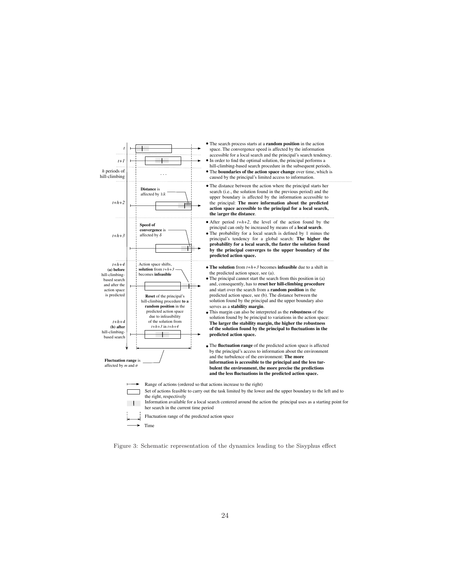

<span id="page-23-0"></span>Figure 3: Schematic representation of the dynamics leading to the Sisyphus effect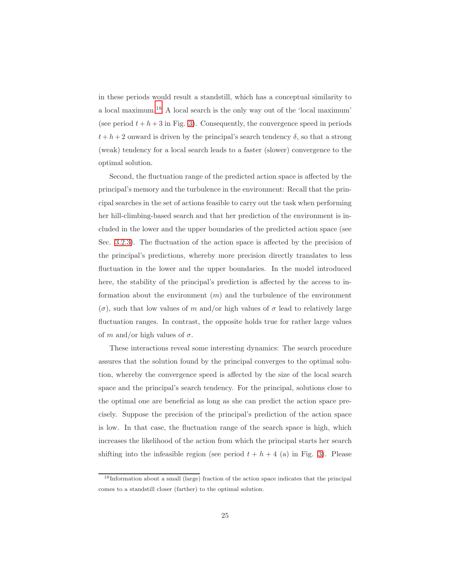in these periods would result a standstill, which has a conceptual similarity to a local maximum.[18](#page-24-0) A local search is the only way out of the 'local maximum' (see period  $t + h + 3$  in Fig. [3\)](#page-23-0). Consequently, the convergence speed in periods  $t + h + 2$  onward is driven by the principal's search tendency  $\delta$ , so that a strong (weak) tendency for a local search leads to a faster (slower) convergence to the optimal solution.

Second, the fluctuation range of the predicted action space is affected by the principal's memory and the turbulence in the environment: Recall that the principal searches in the set of actions feasible to carry out the task when performing her hill-climbing-based search and that her prediction of the environment is included in the lower and the upper boundaries of the predicted action space (see Sec. [3.2.3\)](#page-14-0). The fluctuation of the action space is affected by the precision of the principal's predictions, whereby more precision directly translates to less fluctuation in the lower and the upper boundaries. In the model introduced here, the stability of the principal's prediction is affected by the access to information about the environment  $(m)$  and the turbulence of the environment  $(\sigma)$ , such that low values of m and/or high values of  $\sigma$  lead to relatively large fluctuation ranges. In contrast, the opposite holds true for rather large values of m and/or high values of  $\sigma$ .

These interactions reveal some interesting dynamics: The search procedure assures that the solution found by the principal converges to the optimal solution, whereby the convergence speed is affected by the size of the local search space and the principal's search tendency. For the principal, solutions close to the optimal one are beneficial as long as she can predict the action space precisely. Suppose the precision of the principal's prediction of the action space is low. In that case, the fluctuation range of the search space is high, which increases the likelihood of the action from which the principal starts her search shifting into the infeasible region (see period  $t + h + 4$  (a) in Fig. [3\)](#page-23-0). Please

<span id="page-24-0"></span><sup>18</sup>Information about a small (large) fraction of the action space indicates that the principal comes to a standstill closer (farther) to the optimal solution.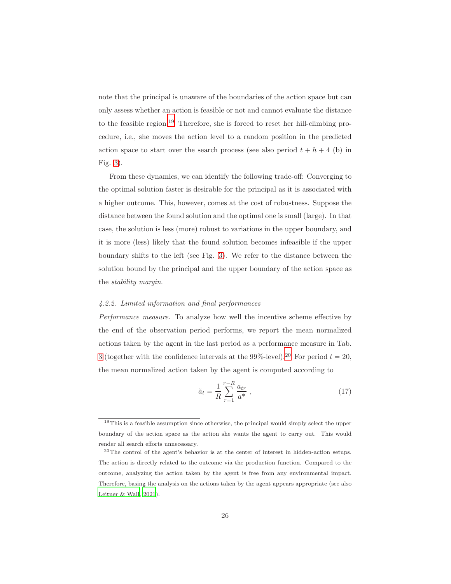note that the principal is unaware of the boundaries of the action space but can only assess whether an action is feasible or not and cannot evaluate the distance to the feasible region.<sup>[19](#page-25-0)</sup> Therefore, she is forced to reset her hill-climbing procedure, i.e., she moves the action level to a random position in the predicted action space to start over the search process (see also period  $t + h + 4$  (b) in Fig. [3\)](#page-23-0).

<span id="page-25-2"></span>From these dynamics, we can identify the following trade-off: Converging to the optimal solution faster is desirable for the principal as it is associated with a higher outcome. This, however, comes at the cost of robustness. Suppose the distance between the found solution and the optimal one is small (large). In that case, the solution is less (more) robust to variations in the upper boundary, and it is more (less) likely that the found solution becomes infeasible if the upper boundary shifts to the left (see Fig. [3\)](#page-23-0). We refer to the distance between the solution bound by the principal and the upper boundary of the action space as the stability margin.

## <span id="page-25-3"></span>4.2.2. Limited information and final performances

Performance measure. To analyze how well the incentive scheme effective by the end of the observation period performs, we report the mean normalized actions taken by the agent in the last period as a performance measure in Tab. [3](#page-27-0) (together with the confidence intervals at the 99%-level).<sup>[20](#page-25-1)</sup> For period  $t = 20$ , the mean normalized action taken by the agent is computed according to

<span id="page-25-4"></span>
$$
\tilde{a}_t = \frac{1}{R} \sum_{r=1}^{r=R} \frac{a_{tr}}{a^*} \,,\tag{17}
$$

<span id="page-25-0"></span><sup>&</sup>lt;sup>19</sup>This is a feasible assumption since otherwise, the principal would simply select the upper boundary of the action space as the action she wants the agent to carry out. This would render all search efforts unnecessary.

<span id="page-25-1"></span><sup>20</sup>The control of the agent's behavior is at the center of interest in hidden-action setups. The action is directly related to the outcome via the production function. Compared to the outcome, analyzing the action taken by the agent is free from any environmental impact. Therefore, basing the analysis on the actions taken by the agent appears appropriate (see also [Leitner & Wall](#page-51-2), [2021](#page-51-2)).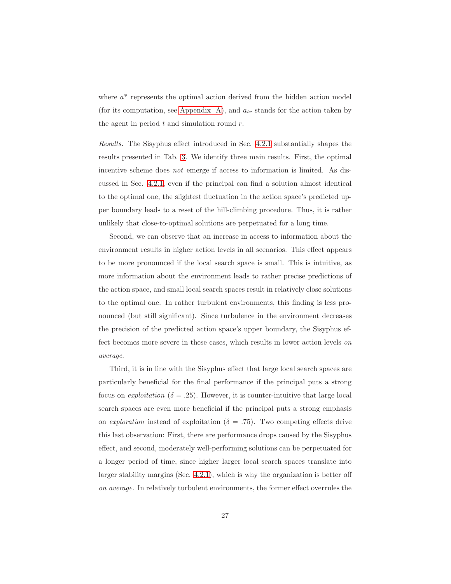where  $a^*$  represents the optimal action derived from the hidden action model (for its computation, see [Appendix A\)](#page-56-0), and  $a_{tr}$  stands for the action taken by the agent in period  $t$  and simulation round  $r$ .

Results. The Sisyphus effect introduced in Sec. [4.2.1](#page-21-2) substantially shapes the results presented in Tab. [3.](#page-27-0) We identify three main results. First, the optimal incentive scheme does not emerge if access to information is limited. As discussed in Sec. [4.2.1,](#page-21-2) even if the principal can find a solution almost identical to the optimal one, the slightest fluctuation in the action space's predicted upper boundary leads to a reset of the hill-climbing procedure. Thus, it is rather unlikely that close-to-optimal solutions are perpetuated for a long time.

Second, we can observe that an increase in access to information about the environment results in higher action levels in all scenarios. This effect appears to be more pronounced if the local search space is small. This is intuitive, as more information about the environment leads to rather precise predictions of the action space, and small local search spaces result in relatively close solutions to the optimal one. In rather turbulent environments, this finding is less pronounced (but still significant). Since turbulence in the environment decreases the precision of the predicted action space's upper boundary, the Sisyphus effect becomes more severe in these cases, which results in lower action levels on average.

Third, it is in line with the Sisyphus effect that large local search spaces are particularly beneficial for the final performance if the principal puts a strong focus on *exploitation* ( $\delta = .25$ ). However, it is counter-intuitive that large local search spaces are even more beneficial if the principal puts a strong emphasis on exploration instead of exploitation ( $\delta = .75$ ). Two competing effects drive this last observation: First, there are performance drops caused by the Sisyphus effect, and second, moderately well-performing solutions can be perpetuated for a longer period of time, since higher larger local search spaces translate into larger stability margins (Sec. [4.2.1\)](#page-21-2), which is why the organization is better off on average. In relatively turbulent environments, the former effect overrules the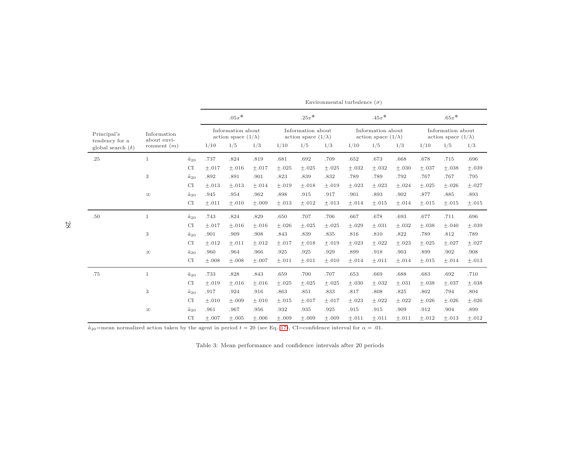|                               |                                             |                  | $.05x*$                                         |         |         | $.25x*$<br>Information about<br>action space $(1/\lambda)$ |         |         | $.45x*$                                         |            |                                                 | $.65x*$ |         |            |  |
|-------------------------------|---------------------------------------------|------------------|-------------------------------------------------|---------|---------|------------------------------------------------------------|---------|---------|-------------------------------------------------|------------|-------------------------------------------------|---------|---------|------------|--|
| Principal's<br>tendency for a | Information<br>about envi-<br>ronment $(m)$ |                  | Information about<br>action space $(1/\lambda)$ |         |         |                                                            |         |         | Information about<br>action space $(1/\lambda)$ |            | Information about<br>action space $(1/\lambda)$ |         |         |            |  |
| global search $(\delta)$      |                                             |                  | 1/10                                            | 1/5     | 1/3     | 1/10                                                       | 1/5     | 1/3     | 1/10                                            | 1/5        | 1/3                                             | 1/10    | 1/5     | 1/3        |  |
| .25                           | $\mathbf{1}$                                | $\tilde{a}_{20}$ | .737                                            | .824    | .819    | .681                                                       | .692    | .709    | .652                                            | .673       | .668                                            | .678    | .715    | .696       |  |
|                               |                                             | <b>CI</b>        | $+.017$                                         | $+.016$ | $+.017$ | $+.025$                                                    | $+.025$ | $+.025$ | $+.032$                                         | $+.032$    | $+.030$                                         | $+.037$ | $+.038$ | $+.039$    |  |
|                               | 3                                           | $\tilde{a}_{20}$ | .892                                            | .891    | .901    | .823                                                       | .839    | .832    | .789                                            | .789       | .792                                            | .767    | .767    | .795       |  |
|                               |                                             | CI               | $+.013$                                         | $+.013$ | $+.014$ | $+.019$                                                    | $+.018$ | $+.019$ | $+.023$                                         | $+.023$    | $+.024$                                         | $+.025$ | $+.026$ | $+.027$    |  |
|                               | $\infty$                                    | $\tilde{a}_{20}$ | .945                                            | .954    | .962    | .898                                                       | .915    | .917    | .901                                            | .893       | .902                                            | .877    | .885    | .893       |  |
|                               |                                             | CI               | $\pm .011$                                      | $+.010$ | $+.009$ | $+.013$                                                    | $+.012$ | $+.013$ | $+.014$                                         | $\pm.015$  | $+.014$                                         | $+.015$ | $+.015$ | $\pm .015$ |  |
| .50                           | $\mathbf{1}$                                | $\tilde{a}_{20}$ | .743                                            | .824    | .829    | .650                                                       | .707    | .706    | .667                                            | .678       | .693                                            | .677    | .711    | .696       |  |
|                               |                                             | <b>CI</b>        | $+.017$                                         | $+.016$ | $+.016$ | $+.026$                                                    | $+.025$ | $+.025$ | $+.029$                                         | $+.031$    | $+.032$                                         | $+.038$ | $+.040$ | $+.039$    |  |
|                               | 3                                           | $\tilde{a}_{20}$ | .901                                            | .909    | .908    | .843                                                       | .839    | .835    | .816                                            | .810       | .822                                            | .789    | .812    | .789       |  |
|                               |                                             | <b>CI</b>        | $+.012$                                         | $+.011$ | $+.012$ | $+.017$                                                    | $+.018$ | $+.019$ | $+.023$                                         | $+.022$    | $+.023$                                         | $+.025$ | $+.027$ | $\pm.027$  |  |
|                               | $\infty$                                    | $\tilde{a}_{20}$ | .960                                            | .964    | .966    | .925                                                       | .925    | .929    | .899                                            | .918       | .903                                            | .899    | .902    | .908       |  |
|                               |                                             | CI               | $\pm.008$                                       | $+.008$ | $+.007$ | $+.011$                                                    | $+.011$ | $+.010$ | $+.014$                                         | $+.011$    | $+.014$                                         | $+.015$ | $+.014$ | $+.013$    |  |
| .75                           | $\mathbf{1}$                                | $\tilde{a}_{20}$ | .733                                            | .828    | .843    | .659                                                       | .700    | .707    | .653                                            | .669       | .688                                            | .683    | .692    | .710       |  |
|                               |                                             | <b>CI</b>        | $+.019$                                         | $+.016$ | $+.016$ | $+.025$                                                    | $+.025$ | $+.025$ | $+.030$                                         | $\pm .032$ | $+.031$                                         | $+.038$ | $+.037$ | $+.038$    |  |
|                               | 3                                           | $\tilde{a}_{20}$ | .917                                            | .924    | .916    | .863                                                       | .851    | .833    | .817                                            | .808       | .825                                            | .802    | .794    | .804       |  |
|                               |                                             | <b>CI</b>        | $+.010$                                         | $+.009$ | $+.010$ | $+.015$                                                    | $+.017$ | $+.017$ | $+.023$                                         | $\pm.022$  | $+.022$                                         | $+.026$ | $+.026$ | $\pm.026$  |  |
|                               | $\infty$                                    | $\tilde{a}_{20}$ | .961                                            | .967    | .956    | .932                                                       | .935    | .925    | .915                                            | .915       | .909                                            | .912    | .904    | .899       |  |
|                               |                                             | <b>CI</b>        | $+.007$                                         | $+.005$ | $+.006$ | $+.009$                                                    | $+.009$ | $+.009$ | $+.011$                                         | $\pm .011$ | $+.011$                                         | $+.012$ | $+.013$ | $+.012$    |  |

Environmental turbulence  $(\sigma)$ 

 $\tilde{a}_{20}$ =mean normalized action taken by the agent in period  $t = 20$  (see Eq. [17\)](#page-25-2), CI=confidence interval for  $\alpha = .01$ .

<span id="page-27-0"></span>Table 3: Mean performance and confidence intervals after <sup>20</sup> periods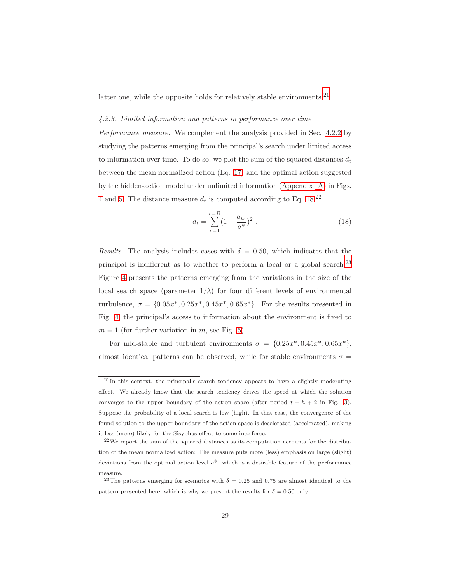latter one, while the opposite holds for relatively stable environments.<sup>[21](#page-28-0)</sup>

#### 4.2.3. Limited information and patterns in performance over time

Performance measure. We complement the analysis provided in Sec. [4.2.2](#page-25-3) by studying the patterns emerging from the principal's search under limited access to information over time. To do so, we plot the sum of the squared distances  $d_t$ between the mean normalized action (Eq. [17\)](#page-25-4) and the optimal action suggested by the hidden-action model under unlimited information [\(Appendix A\)](#page-56-0) in Figs. [4](#page-29-0) and [5.](#page-31-0) The distance measure  $d_t$  is computed according to Eq. [18:](#page-28-1)<sup>[22](#page-28-2)</sup>

<span id="page-28-1"></span>
$$
d_t = \sum_{r=1}^{r=R} (1 - \frac{a_{tr}}{a^*})^2
$$
 (18)

Results. The analysis includes cases with  $\delta = 0.50$ , which indicates that the principal is indifferent as to whether to perform a local or a global search.[23](#page-28-3) Figure [4](#page-29-0) presents the patterns emerging from the variations in the size of the local search space (parameter  $1/\lambda$ ) for four different levels of environmental turbulence,  $\sigma = \{0.05x^*, 0.25x^*, 0.45x^*, 0.65x^*\}$ . For the results presented in Fig. [4,](#page-29-0) the principal's access to information about the environment is fixed to  $m = 1$  (for further variation in m, see Fig. [5\)](#page-31-0).

For mid-stable and turbulent environments  $\sigma = \{0.25x^*, 0.45x^*, 0.65x^*\},\$ almost identical patterns can be observed, while for stable environments  $\sigma =$ 

<span id="page-28-0"></span><sup>&</sup>lt;sup>21</sup>In this context, the principal's search tendency appears to have a slightly moderating effect. We already know that the search tendency drives the speed at which the solution converges to the upper boundary of the action space (after period  $t + h + 2$  in Fig. [3\)](#page-23-0). Suppose the probability of a local search is low (high). In that case, the convergence of the found solution to the upper boundary of the action space is decelerated (accelerated), making it less (more) likely for the Sisyphus effect to come into force.

<span id="page-28-2"></span><sup>22</sup>We report the sum of the squared distances as its computation accounts for the distribution of the mean normalized action: The measure puts more (less) emphasis on large (slight) deviations from the optimal action level  $a^*$ , which is a desirable feature of the performance measure.

<span id="page-28-3"></span><sup>&</sup>lt;sup>23</sup>The patterns emerging for scenarios with  $\delta = 0.25$  and 0.75 are almost identical to the pattern presented here, which is why we present the results for  $\delta = 0.50$  only.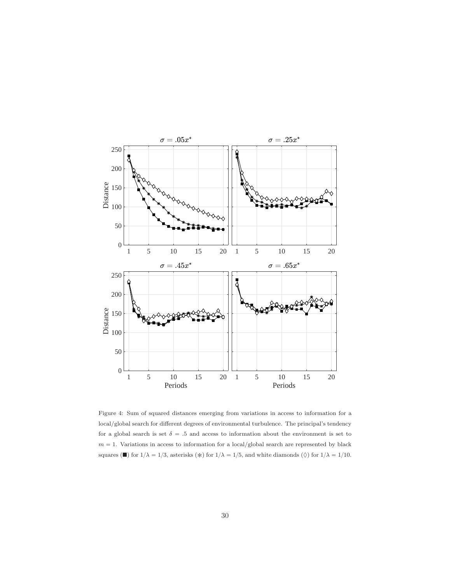

<span id="page-29-0"></span>Figure 4: Sum of squared distances emerging from variations in access to information for a local/global search for different degrees of environmental turbulence. The principal's tendency for a global search is set  $\delta = .5$  and access to information about the environment is set to  $m = 1$ . Variations in access to information for a local/global search are represented by black squares ( $\blacksquare$ ) for  $1/\lambda = 1/3$ , asterisks ( $\ast$ ) for  $1/\lambda = 1/5$ , and white diamonds ( $\lozenge$ ) for  $1/\lambda = 1/10$ .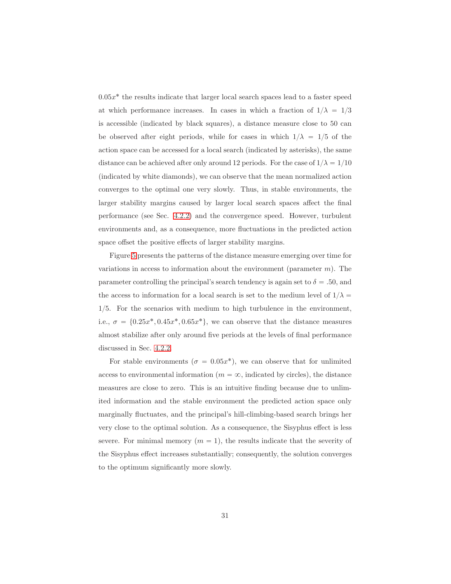$0.05x^*$  the results indicate that larger local search spaces lead to a faster speed at which performance increases. In cases in which a fraction of  $1/\lambda = 1/3$ is accessible (indicated by black squares), a distance measure close to 50 can be observed after eight periods, while for cases in which  $1/\lambda = 1/5$  of the action space can be accessed for a local search (indicated by asterisks), the same distance can be achieved after only around 12 periods. For the case of  $1/\lambda = 1/10$ (indicated by white diamonds), we can observe that the mean normalized action converges to the optimal one very slowly. Thus, in stable environments, the larger stability margins caused by larger local search spaces affect the final performance (see Sec. [4.2.2\)](#page-25-3) and the convergence speed. However, turbulent environments and, as a consequence, more fluctuations in the predicted action space offset the positive effects of larger stability margins.

Figure [5](#page-31-0) presents the patterns of the distance measure emerging over time for variations in access to information about the environment (parameter  $m$ ). The parameter controlling the principal's search tendency is again set to  $\delta = 0.50$ , and the access to information for a local search is set to the medium level of  $1/\lambda =$  $1/5$ . For the scenarios with medium to high turbulence in the environment, i.e.,  $\sigma = \{0.25x^*, 0.45x^*, 0.65x^*\},$  we can observe that the distance measures almost stabilize after only around five periods at the levels of final performance discussed in Sec. [4.2.2.](#page-25-3)

For stable environments ( $\sigma = 0.05x^*$ ), we can observe that for unlimited access to environmental information ( $m = \infty$ , indicated by circles), the distance measures are close to zero. This is an intuitive finding because due to unlimited information and the stable environment the predicted action space only marginally fluctuates, and the principal's hill-climbing-based search brings her very close to the optimal solution. As a consequence, the Sisyphus effect is less severe. For minimal memory  $(m = 1)$ , the results indicate that the severity of the Sisyphus effect increases substantially; consequently, the solution converges to the optimum significantly more slowly.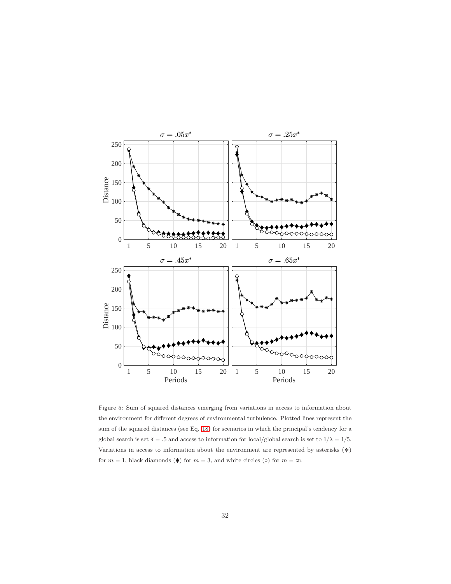

<span id="page-31-0"></span>Figure 5: Sum of squared distances emerging from variations in access to information about the environment for different degrees of environmental turbulence. Plotted lines represent the sum of the squared distances (see Eq. [18\)](#page-28-1) for scenarios in which the principal's tendency for a global search is set  $\delta = .5$  and access to information for local/global search is set to  $1/\lambda = 1/5$ . Variations in access to information about the environment are represented by asterisks  $(*)$ for  $m = 1$ , black diamonds ( $\blacklozenge$ ) for  $m = 3$ , and white circles ( $\circ$ ) for  $m = \infty$ .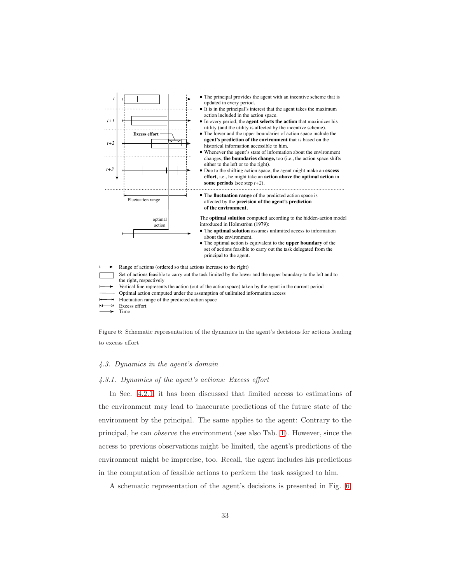

<span id="page-32-0"></span>Figure 6: Schematic representation of the dynamics in the agent's decisions for actions leading to excess effort

#### <span id="page-32-1"></span>4.3. Dynamics in the agent's domain

#### 4.3.1. Dynamics of the agent's actions: Excess effort

In Sec. [4.2.1,](#page-21-2) it has been discussed that limited access to estimations of the environment may lead to inaccurate predictions of the future state of the environment by the principal. The same applies to the agent: Contrary to the principal, he can observe the environment (see also Tab. [1\)](#page-15-0). However, since the access to previous observations might be limited, the agent's predictions of the environment might be imprecise, too. Recall, the agent includes his predictions in the computation of feasible actions to perform the task assigned to him.

A schematic representation of the agent's decisions is presented in Fig. [6.](#page-32-0)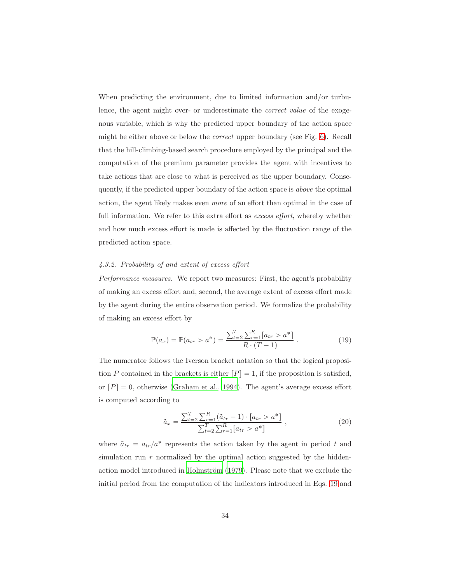<span id="page-33-3"></span><span id="page-33-2"></span>When predicting the environment, due to limited information and/or turbulence, the agent might over- or underestimate the *correct value* of the exogenous variable, which is why the predicted upper boundary of the action space might be either above or below the correct upper boundary (see Fig. [6\)](#page-32-0). Recall that the hill-climbing-based search procedure employed by the principal and the computation of the premium parameter provides the agent with incentives to take actions that are close to what is perceived as the upper boundary. Consequently, if the predicted upper boundary of the action space is above the optimal action, the agent likely makes even more of an effort than optimal in the case of full information. We refer to this extra effort as excess effort, whereby whether and how much excess effort is made is affected by the fluctuation range of the predicted action space.

## 4.3.2. Probability of and extent of excess effort

Performance measures. We report two measures: First, the agent's probability of making an excess effort and, second, the average extent of excess effort made by the agent during the entire observation period. We formalize the probability of making an excess effort by

<span id="page-33-0"></span>
$$
\mathbb{P}(a_x) = \mathbb{P}(a_{tr} > a^*) = \frac{\sum_{t=2}^{T} \sum_{r=1}^{R} [a_{tr} > a^*]}{R \cdot (T-1)}.
$$
\n(19)

The numerator follows the Iverson bracket notation so that the logical proposition P contained in the brackets is either  $[P] = 1$ , if the proposition is satisfied, or  $[P]=0$ , otherwise [\(Graham et al., 1994](#page-48-5)). The agent's average excess effort is computed according to

<span id="page-33-1"></span>
$$
\tilde{a}_x = \frac{\sum_{t=2}^T \sum_{r=1}^R (\tilde{a}_{tr} - 1) \cdot [a_{tr} > a^*]}{\sum_{t=2}^T \sum_{r=1}^R [a_{tr} > a^*]},
$$
\n(20)

where  $\tilde{a}_{tr} = a_{tr}/a^*$  represents the action taken by the agent in period t and simulation run  $r$  normalized by the optimal action suggested by the hiddenaction model introduced in Holmström (1979). Please note that we exclude the initial period from the computation of the indicators introduced in Eqs. [19](#page-33-0) and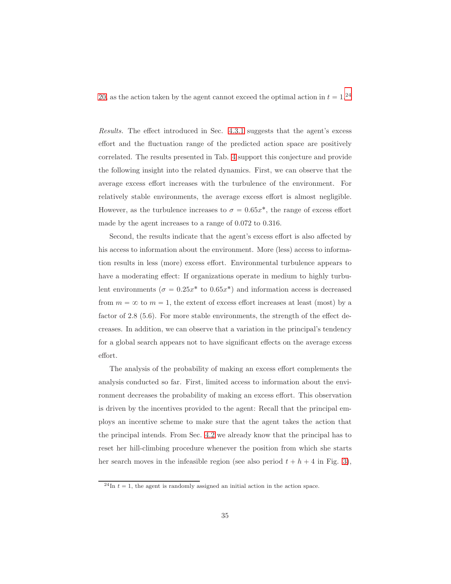[20,](#page-33-1) as the action taken by the agent cannot exceed the optimal action in  $t = 1.^{24}$  $t = 1.^{24}$  $t = 1.^{24}$ 

Results. The effect introduced in Sec. [4.3.1](#page-32-1) suggests that the agent's excess effort and the fluctuation range of the predicted action space are positively correlated. The results presented in Tab. [4](#page-35-0) support this conjecture and provide the following insight into the related dynamics. First, we can observe that the average excess effort increases with the turbulence of the environment. For relatively stable environments, the average excess effort is almost negligible. However, as the turbulence increases to  $\sigma = 0.65x^*$ , the range of excess effort made by the agent increases to a range of 0.072 to 0.316.

Second, the results indicate that the agent's excess effort is also affected by his access to information about the environment. More (less) access to information results in less (more) excess effort. Environmental turbulence appears to have a moderating effect: If organizations operate in medium to highly turbulent environments ( $\sigma = 0.25x^*$  to  $0.65x^*$ ) and information access is decreased from  $m = \infty$  to  $m = 1$ , the extent of excess effort increases at least (most) by a factor of 2.8 (5.6). For more stable environments, the strength of the effect decreases. In addition, we can observe that a variation in the principal's tendency for a global search appears not to have significant effects on the average excess effort.

The analysis of the probability of making an excess effort complements the analysis conducted so far. First, limited access to information about the environment decreases the probability of making an excess effort. This observation is driven by the incentives provided to the agent: Recall that the principal employs an incentive scheme to make sure that the agent takes the action that the principal intends. From Sec. [4.2](#page-21-3) we already know that the principal has to reset her hill-climbing procedure whenever the position from which she starts her search moves in the infeasible region (see also period  $t + h + 4$  in Fig. [3\)](#page-23-0),

<span id="page-34-0"></span> $^{24}$ In  $t = 1$ , the agent is randomly assigned an initial action in the action space.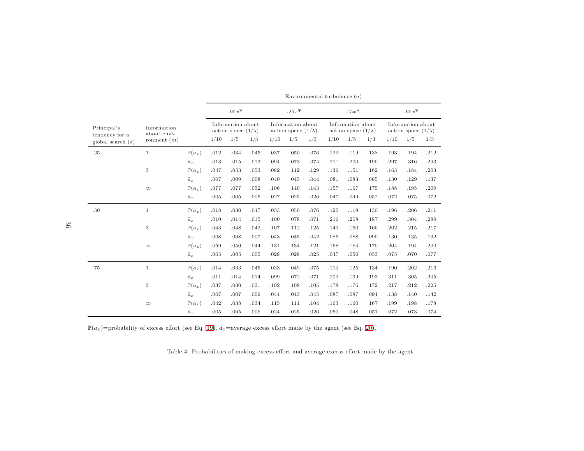|                                                           |                                             |                                                     | $.05x*$<br>Information about<br>action space $(1/\lambda)$<br>1/10<br>1/5<br>1/3 |                      |                      | $.25x*$<br>Information about<br>action space $(1/\lambda)$<br>1/10<br>1/5<br>1/3 |                      |                      | $.45x*$<br>Information about<br>action space $(1/\lambda)$<br>1/10<br>1/5<br>1/3 |                      |                      | $.65x*$<br>Information about<br>action space $(1/\lambda)$<br>1/10<br>1/5<br>1/3 |                      |                      |
|-----------------------------------------------------------|---------------------------------------------|-----------------------------------------------------|----------------------------------------------------------------------------------|----------------------|----------------------|----------------------------------------------------------------------------------|----------------------|----------------------|----------------------------------------------------------------------------------|----------------------|----------------------|----------------------------------------------------------------------------------|----------------------|----------------------|
| Principal's<br>tendency for a<br>global search $(\delta)$ | Information<br>about envi-<br>ronment $(m)$ |                                                     |                                                                                  |                      |                      |                                                                                  |                      |                      |                                                                                  |                      |                      |                                                                                  |                      |                      |
| .25                                                       | $\mathbf{1}$                                | $\mathbb{P}(a_x)$<br>$\tilde{a}_x$                  | .012<br>.013                                                                     | .034<br>.015         | .045<br>.013         | .037<br>.094                                                                     | .050<br>.073         | .076<br>.074         | .122<br>.211                                                                     | .119<br>.200         | .138<br>.190         | .193<br>.297                                                                     | .194<br>.316         | .212<br>.293         |
|                                                           | 3                                           | $\mathbb{P}(a_x)$                                   | .047                                                                             | .053                 | .053                 | .082                                                                             | .112                 | .129                 | .136                                                                             | .151                 | .162                 | .163                                                                             | .184                 | .203                 |
|                                                           | $\infty$                                    | $\tilde{a}_x$<br>$\mathbb{P}(a_x)$<br>$\tilde{a}_x$ | .007<br>.077<br>.005                                                             | .009<br>.077<br>.005 | .008<br>.052<br>.005 | .040<br>.106<br>.027                                                             | .045<br>.140<br>.025 | .044<br>.143<br>.026 | .081<br>.157<br>.047                                                             | .083<br>.167<br>.049 | .085<br>.175<br>.052 | .130<br>.188<br>.072                                                             | .129<br>.195<br>.075 | .137<br>.209<br>.072 |
| .50                                                       | $\mathbf{1}$                                | $\mathbb{P}(a_x)$                                   | .018                                                                             | .030                 | .047                 | .033                                                                             | .050                 | .076                 | .120                                                                             | .119                 | .130                 | .196                                                                             | .206                 | .211                 |
|                                                           | 3                                           | $\tilde{a}_x$<br>$\mathbb{P}(a_x)$                  | .010<br>.043                                                                     | .014<br>.048         | .015<br>.042         | .100<br>.107                                                                     | .078<br>.112         | .071<br>.125         | .216<br>.149                                                                     | .208<br>.160         | .187<br>.166         | .299<br>.202                                                                     | .304<br>.215         | .299<br>.217         |
|                                                           | $\infty$                                    | $\tilde{a}_x$<br>$\mathbb{P}(a_x)$<br>$\tilde{a}_x$ | .008<br>.059<br>.005                                                             | .008<br>.050<br>.005 | .007<br>.044<br>.005 | .043<br>.131<br>.028                                                             | .045<br>.134<br>.028 | .042<br>.121<br>.025 | .085<br>.168<br>.047                                                             | .088<br>.184<br>.050 | .090<br>.170<br>.053 | .130<br>.204<br>.075                                                             | .135<br>.194<br>.070 | .132<br>.200<br>.077 |
| .75                                                       | $\mathbf{1}$                                | $\mathbb{P}(a_x)$                                   | .014                                                                             | .033                 | .045                 | .033                                                                             | .049                 | .075                 | .110                                                                             | .125                 | .134                 | .190                                                                             | .202                 | .216                 |
|                                                           | 3                                           | $\tilde{a}_x$<br>$\mathbb{P}(a_x)$                  | .011<br>.037                                                                     | .014<br>.030         | .014<br>.031         | .099<br>.102                                                                     | .072<br>.108         | .071<br>.105         | .209<br>.178                                                                     | .199<br>.176         | .193<br>.172         | .311<br>.217                                                                     | .305<br>.212         | .305<br>.225         |
|                                                           | $\infty$                                    | $\tilde{a}_x$<br>$\mathbb{P}(a_x)$                  | .007<br>.042                                                                     | .007<br>.038         | .009<br>.034         | .044<br>.115                                                                     | .043<br>.111         | .045<br>.104         | .087<br>.163                                                                     | .087<br>.160         | .094<br>.167         | .138<br>.199                                                                     | .140<br>.198         | .142<br>.178<br>.074 |
|                                                           |                                             | $\tilde{a}_x$                                       | .005                                                                             | .005                 | .006                 | .024                                                                             | .025                 | .026                 | .050                                                                             | .048                 | .051                 | .072                                                                             | .073                 |                      |

Environmental turbulence  $(\sigma)$ 

 $\mathbb{P}(a_x)$ =probability of excess effort (see Eq. [19\)](#page-33-2),  $\tilde{a}_x$ =average excess effort made by the agent (see Eq. [20\)](#page-33-3).

<span id="page-35-0"></span>Table 4: Probabilities of making excess effort and average excess effort made by the agent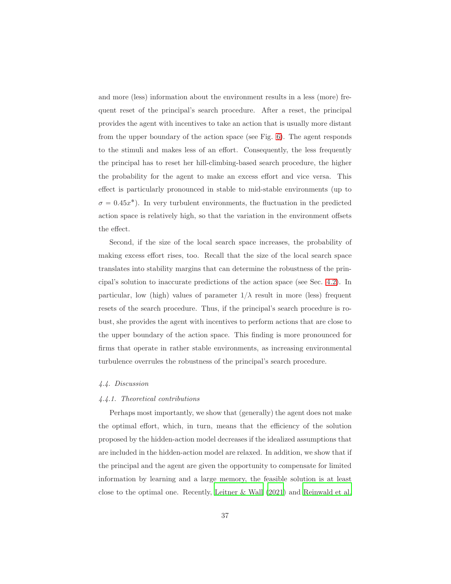and more (less) information about the environment results in a less (more) frequent reset of the principal's search procedure. After a reset, the principal provides the agent with incentives to take an action that is usually more distant from the upper boundary of the action space (see Fig. [6\)](#page-32-0). The agent responds to the stimuli and makes less of an effort. Consequently, the less frequently the principal has to reset her hill-climbing-based search procedure, the higher the probability for the agent to make an excess effort and vice versa. This effect is particularly pronounced in stable to mid-stable environments (up to  $\sigma = 0.45x^*$ ). In very turbulent environments, the fluctuation in the predicted action space is relatively high, so that the variation in the environment offsets the effect.

Second, if the size of the local search space increases, the probability of making excess effort rises, too. Recall that the size of the local search space translates into stability margins that can determine the robustness of the principal's solution to inaccurate predictions of the action space (see Sec. [4.2\)](#page-21-3). In particular, low (high) values of parameter  $1/\lambda$  result in more (less) frequent resets of the search procedure. Thus, if the principal's search procedure is robust, she provides the agent with incentives to perform actions that are close to the upper boundary of the action space. This finding is more pronounced for firms that operate in rather stable environments, as increasing environmental turbulence overrules the robustness of the principal's search procedure.

## 4.4. Discussion

#### 4.4.1. Theoretical contributions

Perhaps most importantly, we show that (generally) the agent does not make the optimal effort, which, in turn, means that the efficiency of the solution proposed by the hidden-action model decreases if the idealized assumptions that are included in the hidden-action model are relaxed. In addition, we show that if the principal and the agent are given the opportunity to compensate for limited information by learning and a large memory, the feasible solution is at least close to the optimal one. Recently, [Leitner & Wall \(2021\)](#page-51-2) and [Reinwald et al.](#page-52-5)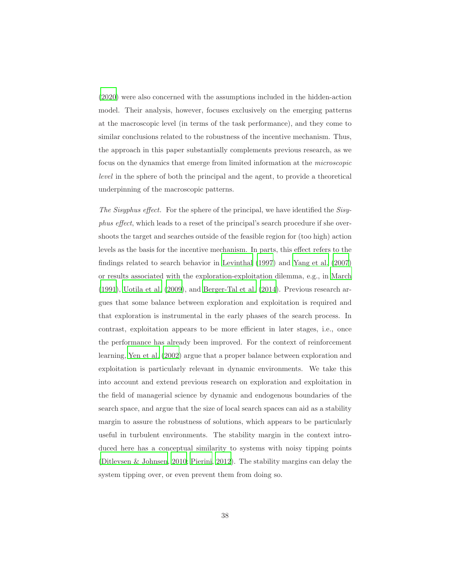[\(2020\)](#page-52-5) were also concerned with the assumptions included in the hidden-action model. Their analysis, however, focuses exclusively on the emerging patterns at the macroscopic level (in terms of the task performance), and they come to similar conclusions related to the robustness of the incentive mechanism. Thus, the approach in this paper substantially complements previous research, as we focus on the dynamics that emerge from limited information at the microscopic level in the sphere of both the principal and the agent, to provide a theoretical underpinning of the macroscopic patterns.

The Sisyphus effect. For the sphere of the principal, we have identified the Sisyphus effect, which leads to a reset of the principal's search procedure if she overshoots the target and searches outside of the feasible region for (too high) action levels as the basis for the incentive mechanism. In parts, this effect refers to the findings related to search behavior in [Levinthal \(1997\)](#page-51-8) and [Yang et](#page-54-6) al. [\(2007\)](#page-54-6) or results associated with the exploration-exploitation dilemma, e.g., in [March](#page-51-9) [\(1991\)](#page-51-9), [Uotila et al. \(2009\)](#page-54-7), and [Berger-Tal et al. \(2014\)](#page-45-5). Previous research argues that some balance between exploration and exploitation is required and that exploration is instrumental in the early phases of the search process. In contrast, exploitation appears to be more efficient in later stages, i.e., once the performance has already been improved. For the context of reinforcement learning, [Yen et al. \(2002\)](#page-55-2) argue that a proper balance between exploration and exploitation is particularly relevant in dynamic environments. We take this into account and extend previous research on exploration and exploitation in the field of managerial science by dynamic and endogenous boundaries of the search space, and argue that the size of local search spaces can aid as a stability margin to assure the robustness of solutions, which appears to be particularly useful in turbulent environments. The stability margin in the context introduced here has a conceptual similarity to systems with noisy tipping points [\(Ditlevsen & Johnsen, 2010;](#page-46-3) [Pierini, 2012\)](#page-52-6). The stability margins can delay the system tipping over, or even prevent them from doing so.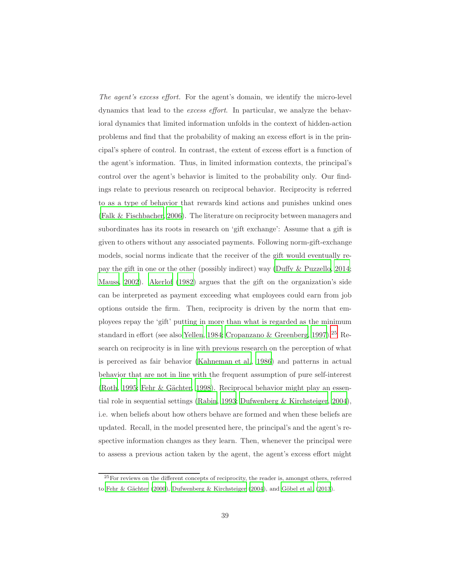The agent's excess effort. For the agent's domain, we identify the micro-level dynamics that lead to the excess effort. In particular, we analyze the behavioral dynamics that limited information unfolds in the context of hidden-action problems and find that the probability of making an excess effort is in the principal's sphere of control. In contrast, the extent of excess effort is a function of the agent's information. Thus, in limited information contexts, the principal's control over the agent's behavior is limited to the probability only. Our findings relate to previous research on reciprocal behavior. Reciprocity is referred to as a type of behavior that rewards kind actions and punishes unkind ones [\(Falk & Fischbacher, 2006\)](#page-47-4). The literature on reciprocity between managers and subordinates has its roots in research on 'gift exchange': Assume that a gift is given to others without any associated payments. Following norm-gift-exchange models, social norms indicate that the receiver of the gift would eventually repay the gift in one or the other (possibly indirect) way [\(Duffy & Puzzello](#page-46-4), [2014;](#page-46-4) [Mauss](#page-52-7), [2002\)](#page-52-7). [Akerlof \(1982\)](#page-44-4) argues that the gift on the organization's side can be interpreted as payment exceeding what employees could earn from job options outside the firm. Then, reciprocity is driven by the norm that employees repay the 'gift' putting in more than what is regarded as the minimum standard in effort (see also [Yellen, 1984](#page-55-3); [Cropanzano & Greenberg, 1997](#page-46-5)).<sup>[25](#page-38-0)</sup> Research on reciprocity is in line with previous research on the perception of what is perceived as fair behavior [\(Kahneman et al.](#page-50-4), [1986\)](#page-50-4) and patterns in actual behavior that are not in line with the frequent assumption of pure self-interest [\(Roth](#page-53-5), [1995;](#page-53-5) Fehr & Gächter, [1998](#page-47-5)). Reciprocal behavior might play an essential role in sequential settings [\(Rabin, 1993;](#page-52-8) [Dufwenberg & Kirchsteiger](#page-46-6), [2004\)](#page-46-6), i.e. when beliefs about how others behave are formed and when these beliefs are updated. Recall, in the model presented here, the principal's and the agent's respective information changes as they learn. Then, whenever the principal were to assess a previous action taken by the agent, the agent's excess effort might

<span id="page-38-0"></span><sup>25</sup>For reviews on the different concepts of reciprocity, the reader is, amongst others, referred to Fehr & Gächter (2000), [Dufwenberg & Kirchsteiger \(2004](#page-46-6)), and Göbel et al. (2013).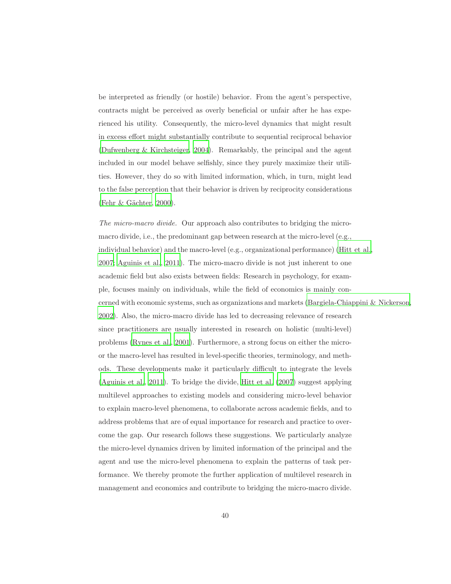be interpreted as friendly (or hostile) behavior. From the agent's perspective, contracts might be perceived as overly beneficial or unfair after he has experienced his utility. Consequently, the micro-level dynamics that might result in excess effort might substantially contribute to sequential reciprocal behavior [\(Dufwenberg & Kirchsteiger, 2004](#page-46-6)). Remarkably, the principal and the agent included in our model behave selfishly, since they purely maximize their utilities. However, they do so with limited information, which, in turn, might lead to the false perception that their behavior is driven by reciprocity considerations (Fehr & Gächter, [2000\)](#page-47-6).

The micro-macro divide. Our approach also contributes to bridging the micromacro divide, i.e., the predominant gap between research at the micro-level (e.g., individual behavior) and the macro-level (e.g., organizational performance) [\(Hitt et al.,](#page-49-6) [2007;](#page-49-6) [Aguinis et al.](#page-44-5), [2011\)](#page-44-5). The micro-macro divide is not just inherent to one academic field but also exists between fields: Research in psychology, for example, focuses mainly on individuals, while the field of economics is mainly concerned with economic systems, such as organizations and markets [\(Bargiela-Chiappini & Nickerson](#page-44-6), [2002\)](#page-44-6). Also, the micro-macro divide has led to decreasing relevance of research since practitioners are usually interested in research on holistic (multi-level) problems [\(Rynes et al., 2001\)](#page-53-6). Furthermore, a strong focus on either the microor the macro-level has resulted in level-specific theories, terminology, and methods. These developments make it particularly difficult to integrate the levels [\(Aguinis et al.](#page-44-5), [2011\)](#page-44-5). To bridge the divide, [Hitt et al. \(2007](#page-49-6)) suggest applying multilevel approaches to existing models and considering micro-level behavior to explain macro-level phenomena, to collaborate across academic fields, and to address problems that are of equal importance for research and practice to overcome the gap. Our research follows these suggestions. We particularly analyze the micro-level dynamics driven by limited information of the principal and the agent and use the micro-level phenomena to explain the patterns of task performance. We thereby promote the further application of multilevel research in management and economics and contribute to bridging the micro-macro divide.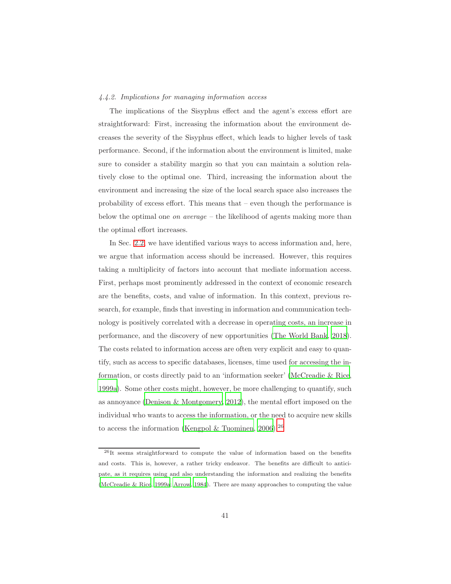## 4.4.2. Implications for managing information access

The implications of the Sisyphus effect and the agent's excess effort are straightforward: First, increasing the information about the environment decreases the severity of the Sisyphus effect, which leads to higher levels of task performance. Second, if the information about the environment is limited, make sure to consider a stability margin so that you can maintain a solution relatively close to the optimal one. Third, increasing the information about the environment and increasing the size of the local search space also increases the probability of excess effort. This means that – even though the performance is below the optimal one on average – the likelihood of agents making more than the optimal effort increases.

In Sec. [2.2,](#page-5-0) we have identified various ways to access information and, here, we argue that information access should be increased. However, this requires taking a multiplicity of factors into account that mediate information access. First, perhaps most prominently addressed in the context of economic research are the benefits, costs, and value of information. In this context, previous research, for example, finds that investing in information and communication technology is positively correlated with a decrease in operating costs, an increase in performance, and the discovery of new opportunities [\(The World Bank, 2018\)](#page-54-8). The costs related to information access are often very explicit and easy to quantify, such as access to specific databases, licenses, time used for accessing the information, or costs directly paid to an 'information seeker' [\(McCreadie & Rice,](#page-52-1) [1999a\)](#page-52-1). Some other costs might, however, be more challenging to quantify, such as annoyance [\(Denison & Montgomery, 2012](#page-46-7)), the mental effort imposed on the individual who wants to access the information, or the need to acquire new skills to access the information [\(Kengpol & Tuominen, 2006\)](#page-50-5).<sup>[26](#page-40-0)</sup>

<span id="page-40-0"></span><sup>26</sup>It seems straightforward to compute the value of information based on the benefits and costs. This is, however, a rather tricky endeavor. The benefits are difficult to anticipate, as it requires using and also understanding the information and realizing the benefits [\(McCreadie & Rice](#page-52-1), [1999a](#page-52-1); [Arrow, 1984](#page-44-7)). There are many approaches to computing the value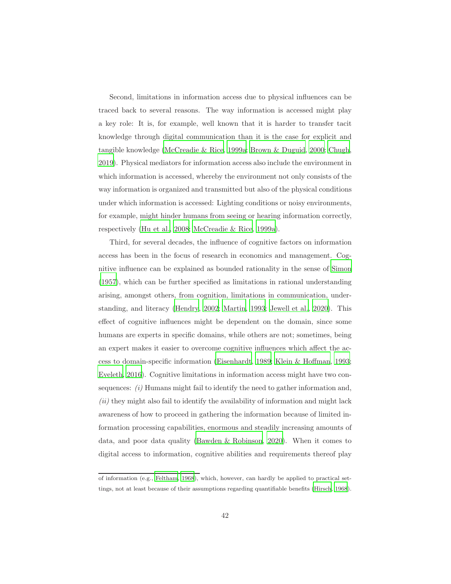Second, limitations in information access due to physical influences can be traced back to several reasons. The way information is accessed might play a key role: It is, for example, well known that it is harder to transfer tacit knowledge through digital communication than it is the case for explicit and tangible knowledge [\(McCreadie & Rice](#page-52-1), [1999a](#page-52-1); [Brown & Duguid, 2000;](#page-45-6) [Chugh,](#page-45-7) [2019\)](#page-45-7). Physical mediators for information access also include the environment in which information is accessed, whereby the environment not only consists of the way information is organized and transmitted but also of the physical conditions under which information is accessed: Lighting conditions or noisy environments, for example, might hinder humans from seeing or hearing information correctly, respectively [\(Hu et al., 2008;](#page-49-7) [McCreadie & Rice, 1999a\)](#page-52-1).

Third, for several decades, the influence of cognitive factors on information access has been in the focus of research in economics and management. Cognitive influence can be explained as bounded rationality in the sense of [Simon](#page-53-7) [\(1957\)](#page-53-7), which can be further specified as limitations in rational understanding arising, amongst others, from cognition, limitations in communication, understanding, and literacy [\(Hendry, 2002;](#page-49-0) [Martin](#page-52-9), [1993](#page-52-9); [Jewell et al., 2020](#page-50-6)). This effect of cognitive influences might be dependent on the domain, since some humans are experts in specific domains, while others are not; sometimes, being an expert makes it easier to overcome cognitive influences which affect the access to domain-specific information [\(Eisenhardt, 1989;](#page-47-1) [Klein & Hoffman, 1993;](#page-50-7) [Eveleth, 2016](#page-47-7)). Cognitive limitations in information access might have two consequences:  $(i)$  Humans might fail to identify the need to gather information and,  $(ii)$  they might also fail to identify the availability of information and might lack awareness of how to proceed in gathering the information because of limited information processing capabilities, enormous and steadily increasing amounts of data, and poor data quality [\(Bawden & Robinson, 2020\)](#page-45-8). When it comes to digital access to information, cognitive abilities and requirements thereof play

of information (e.g., [Feltham](#page-47-8), [1968\)](#page-47-8), which, however, can hardly be applied to practical settings, not at least because of their assumptions regarding quantifiable benefits [\(Hirsch](#page-49-8), [1968\)](#page-49-8).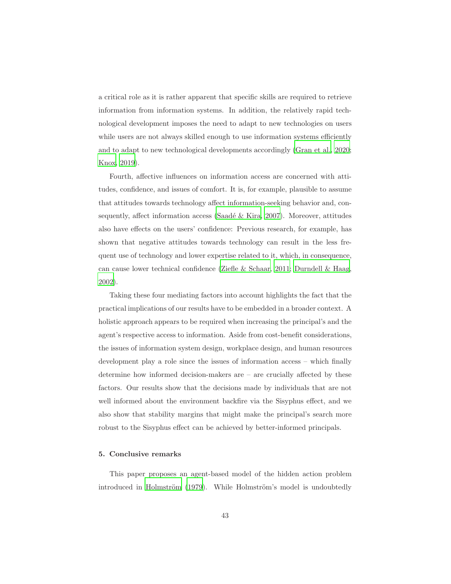a critical role as it is rather apparent that specific skills are required to retrieve information from information systems. In addition, the relatively rapid technological development imposes the need to adapt to new technologies on users while users are not always skilled enough to use information systems efficiently and to adapt to new technological developments accordingly [\(Gran](#page-48-7) et al., [2020;](#page-48-7) [Knox, 2019\)](#page-50-8).

Fourth, affective influences on information access are concerned with attitudes, confidence, and issues of comfort. It is, for example, plausible to assume that attitudes towards technology affect information-seeking behavior and, consequently, affect information access (Saadé & Kira, 2007). Moreover, attitudes also have effects on the users' confidence: Previous research, for example, has shown that negative attitudes towards technology can result in the less frequent use of technology and lower expertise related to it, which, in consequence, can cause lower technical confidence [\(Ziefle & Schaar, 2011;](#page-55-4) [Durndell & Haag,](#page-46-8) [2002\)](#page-46-8).

Taking these four mediating factors into account highlights the fact that the practical implications of our results have to be embedded in a broader context. A holistic approach appears to be required when increasing the principal's and the agent's respective access to information. Aside from cost-benefit considerations, the issues of information system design, workplace design, and human resources development play a role since the issues of information access – which finally determine how informed decision-makers are – are crucially affected by these factors. Our results show that the decisions made by individuals that are not well informed about the environment backfire via the Sisyphus effect, and we also show that stability margins that might make the principal's search more robust to the Sisyphus effect can be achieved by better-informed principals.

## <span id="page-42-0"></span>5. Conclusive remarks

This paper proposes an agent-based model of the hidden action problem introduced in Holmström (1979). While Holmström's model is undoubtedly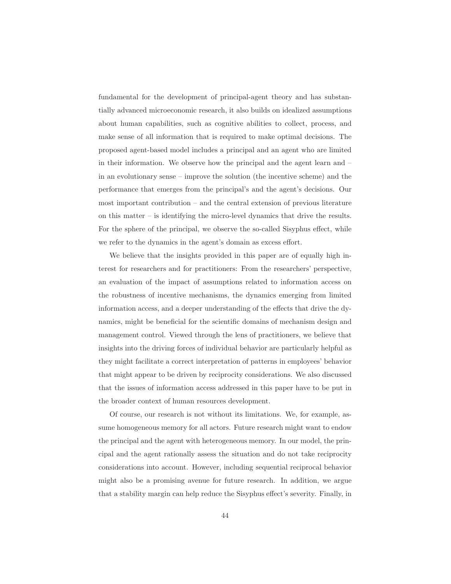fundamental for the development of principal-agent theory and has substantially advanced microeconomic research, it also builds on idealized assumptions about human capabilities, such as cognitive abilities to collect, process, and make sense of all information that is required to make optimal decisions. The proposed agent-based model includes a principal and an agent who are limited in their information. We observe how the principal and the agent learn and – in an evolutionary sense – improve the solution (the incentive scheme) and the performance that emerges from the principal's and the agent's decisions. Our most important contribution – and the central extension of previous literature on this matter – is identifying the micro-level dynamics that drive the results. For the sphere of the principal, we observe the so-called Sisyphus effect, while we refer to the dynamics in the agent's domain as excess effort.

We believe that the insights provided in this paper are of equally high interest for researchers and for practitioners: From the researchers' perspective, an evaluation of the impact of assumptions related to information access on the robustness of incentive mechanisms, the dynamics emerging from limited information access, and a deeper understanding of the effects that drive the dynamics, might be beneficial for the scientific domains of mechanism design and management control. Viewed through the lens of practitioners, we believe that insights into the driving forces of individual behavior are particularly helpful as they might facilitate a correct interpretation of patterns in employees' behavior that might appear to be driven by reciprocity considerations. We also discussed that the issues of information access addressed in this paper have to be put in the broader context of human resources development.

Of course, our research is not without its limitations. We, for example, assume homogeneous memory for all actors. Future research might want to endow the principal and the agent with heterogeneous memory. In our model, the principal and the agent rationally assess the situation and do not take reciprocity considerations into account. However, including sequential reciprocal behavior might also be a promising avenue for future research. In addition, we argue that a stability margin can help reduce the Sisyphus effect's severity. Finally, in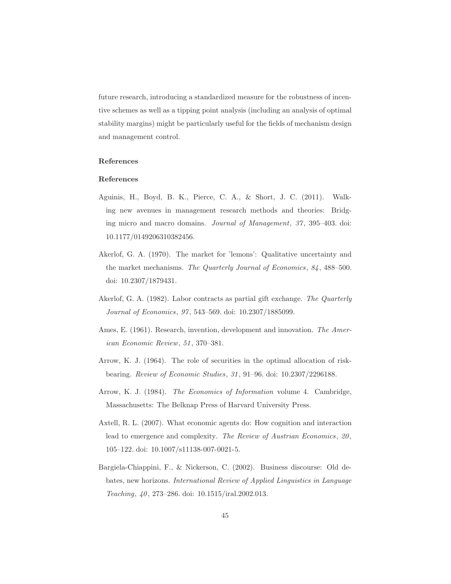future research, introducing a standardized measure for the robustness of incentive schemes as well as a tipping point analysis (including an analysis of optimal stability margins) might be particularly useful for the fields of mechanism design and management control.

## References

## References

- <span id="page-44-5"></span>Aguinis, H., Boyd, B. K., Pierce, C. A., & Short, J. C. (2011). Walking new avenues in management research methods and theories: Bridging micro and macro domains. Journal of Management, 37, 395–403. doi: 10.1177/0149206310382456.
- <span id="page-44-1"></span>Akerlof, G. A. (1970). The market for 'lemons': Qualitative uncertainty and the market mechanisms. The Quarterly Journal of Economics, 84, 488–500. doi: 10.2307/1879431.
- <span id="page-44-4"></span>Akerlof, G. A. (1982). Labor contracts as partial gift exchange. The Quarterly Journal of Economics, 97, 543–569. doi: 10.2307/1885099.
- <span id="page-44-3"></span>Ames, E. (1961). Research, invention, development and innovation. The American Economic Review, 51, 370–381.
- <span id="page-44-2"></span>Arrow, K. J. (1964). The role of securities in the optimal allocation of riskbearing. Review of Economic Studies, 31, 91–96. doi: 10.2307/2296188.
- <span id="page-44-7"></span>Arrow, K. J. (1984). The Economics of Information volume 4. Cambridge, Massachusetts: The Belknap Press of Harvard University Press.
- <span id="page-44-0"></span>Axtell, R. L. (2007). What economic agents do: How cognition and interaction lead to emergence and complexity. The Review of Austrian Economics, 20, 105–122. doi: 10.1007/s11138-007-0021-5.
- <span id="page-44-6"></span>Bargiela-Chiappini, F., & Nickerson, C. (2002). Business discourse: Old debates, new horizons. International Review of Applied Linguistics in Language Teaching, 40, 273–286. doi: 10.1515/iral.2002.013.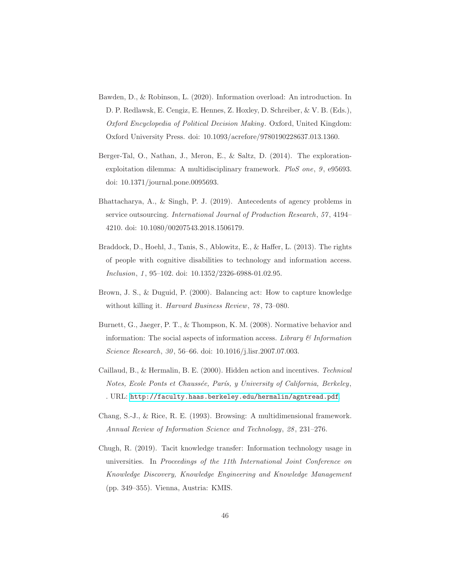- <span id="page-45-8"></span>Bawden, D., & Robinson, L. (2020). Information overload: An introduction. In D. P. Redlawsk, E. Cengiz, E. Hennes, Z. Hoxley, D. Schreiber, & V. B. (Eds.), Oxford Encyclopedia of Political Decision Making. Oxford, United Kingdom: Oxford University Press. doi: 10.1093/acrefore/9780190228637.013.1360.
- <span id="page-45-5"></span>Berger-Tal, O., Nathan, J., Meron, E., & Saltz, D. (2014). The explorationexploitation dilemma: A multidisciplinary framework. PloS one, 9, e95693. doi: 10.1371/journal.pone.0095693.
- <span id="page-45-1"></span>Bhattacharya, A., & Singh, P. J. (2019). Antecedents of agency problems in service outsourcing. International Journal of Production Research, 57, 4194– 4210. doi: 10.1080/00207543.2018.1506179.
- <span id="page-45-3"></span>Braddock, D., Hoehl, J., Tanis, S., Ablowitz, E., & Haffer, L. (2013). The rights of people with cognitive disabilities to technology and information access. Inclusion, 1, 95–102. doi: 10.1352/2326-6988-01.02.95.
- <span id="page-45-6"></span>Brown, J. S., & Duguid, P. (2000). Balancing act: How to capture knowledge without killing it. Harvard Business Review, 78, 73–080.
- <span id="page-45-4"></span>Burnett, G., Jaeger, P. T., & Thompson, K. M. (2008). Normative behavior and information: The social aspects of information access. Library  $\mathcal C$  Information Science Research, 30, 56–66. doi: 10.1016/j.lisr.2007.07.003.
- <span id="page-45-0"></span>Caillaud, B., & Hermalin, B. E. (2000). Hidden action and incentives. Technical Notes, Ecole Ponts et Chaussée, París, y University of California, Berkeley, . URL: <http://faculty.haas.berkeley.edu/hermalin/agntread.pdf>.
- <span id="page-45-2"></span>Chang, S.-J., & Rice, R. E. (1993). Browsing: A multidimensional framework. Annual Review of Information Science and Technology, 28, 231–276.
- <span id="page-45-7"></span>Chugh, R. (2019). Tacit knowledge transfer: Information technology usage in universities. In Proceedings of the 11th International Joint Conference on Knowledge Discovery, Knowledge Engineering and Knowledge Management (pp. 349–355). Vienna, Austria: KMIS.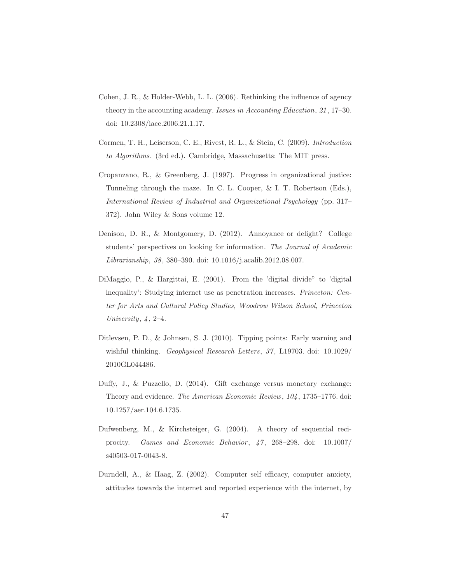- <span id="page-46-0"></span>Cohen, J. R., & Holder-Webb, L. L. (2006). Rethinking the influence of agency theory in the accounting academy. Issues in Accounting Education, 21, 17–30. doi: 10.2308/iace.2006.21.1.17.
- <span id="page-46-2"></span>Cormen, T. H., Leiserson, C. E., Rivest, R. L., & Stein, C. (2009). Introduction to Algorithms. (3rd ed.). Cambridge, Massachusetts: The MIT press.
- <span id="page-46-5"></span>Cropanzano, R., & Greenberg, J. (1997). Progress in organizational justice: Tunneling through the maze. In C. L. Cooper, & I. T. Robertson (Eds.), International Review of Industrial and Organizational Psychology (pp. 317– 372). John Wiley & Sons volume 12.
- <span id="page-46-7"></span>Denison, D. R., & Montgomery, D. (2012). Annoyance or delight? College students' perspectives on looking for information. The Journal of Academic Librarianship, 38, 380–390. doi: 10.1016/j.acalib.2012.08.007.
- <span id="page-46-1"></span>DiMaggio, P., & Hargittai, E. (2001). From the 'digital divide" to 'digital inequality': Studying internet use as penetration increases. Princeton: Center for Arts and Cultural Policy Studies, Woodrow Wilson School, Princeton University, 4, 2–4.
- <span id="page-46-3"></span>Ditlevsen, P. D., & Johnsen, S. J. (2010). Tipping points: Early warning and wishful thinking. Geophysical Research Letters, 37, L19703. doi: 10.1029/ 2010GL044486.
- <span id="page-46-4"></span>Duffy, J., & Puzzello, D. (2014). Gift exchange versus monetary exchange: Theory and evidence. The American Economic Review, 104, 1735–1776. doi: 10.1257/aer.104.6.1735.
- <span id="page-46-6"></span>Dufwenberg, M., & Kirchsteiger, G. (2004). A theory of sequential reciprocity. Games and Economic Behavior,  $47, 268-298$ . doi:  $10.1007/$ s40503-017-0043-8.
- <span id="page-46-8"></span>Durndell, A., & Haag, Z. (2002). Computer self efficacy, computer anxiety, attitudes towards the internet and reported experience with the internet, by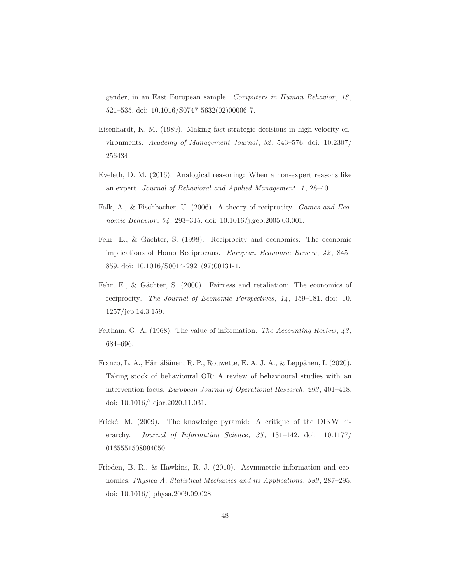gender, in an East European sample. Computers in Human Behavior, 18, 521–535. doi: 10.1016/S0747-5632(02)00006-7.

- <span id="page-47-1"></span>Eisenhardt, K. M. (1989). Making fast strategic decisions in high-velocity environments. Academy of Management Journal, 32, 543–576. doi: 10.2307/ 256434.
- <span id="page-47-7"></span>Eveleth, D. M. (2016). Analogical reasoning: When a non-expert reasons like an expert. Journal of Behavioral and Applied Management, 1, 28–40.
- <span id="page-47-4"></span>Falk, A., & Fischbacher, U. (2006). A theory of reciprocity. Games and Economic Behavior, 54, 293-315. doi: 10.1016/j.geb.2005.03.001.
- <span id="page-47-5"></span>Fehr, E., & Gächter, S. (1998). Reciprocity and economics: The economic implications of Homo Reciprocans. European Economic Review, 42, 845– 859. doi: 10.1016/S0014-2921(97)00131-1.
- <span id="page-47-6"></span>Fehr, E., & Gächter, S. (2000). Fairness and retaliation: The economics of reciprocity. The Journal of Economic Perspectives, 14, 159–181. doi: 10. 1257/jep.14.3.159.
- <span id="page-47-8"></span>Feltham, G. A. (1968). The value of information. The Accounting Review,  $43$ , 684–696.
- <span id="page-47-0"></span>Franco, L. A., Hämäläinen, R. P., Rouwette, E. A. J. A., & Leppänen, I.  $(2020)$ . Taking stock of behavioural OR: A review of behavioural studies with an intervention focus. European Journal of Operational Research, 293, 401–418. doi: 10.1016/j.ejor.2020.11.031.
- <span id="page-47-3"></span>Frické, M. (2009). The knowledge pyramid: A critique of the DIKW hierarchy. Journal of Information Science, 35, 131-142. doi: 10.1177/ 0165551508094050.
- <span id="page-47-2"></span>Frieden, B. R., & Hawkins, R. J. (2010). Asymmetric information and economics. Physica A: Statistical Mechanics and its Applications, 389, 287–295. doi: 10.1016/j.physa.2009.09.028.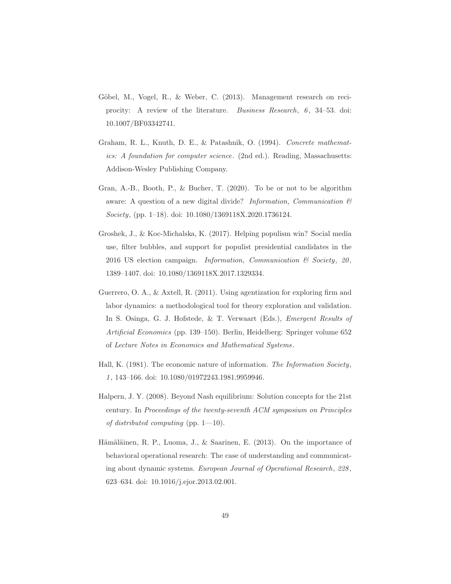- <span id="page-48-6"></span>Göbel, M., Vogel, R., & Weber, C. (2013). Management research on reciprocity: A review of the literature. Business Research, 6, 34–53. doi: 10.1007/BF03342741.
- <span id="page-48-5"></span>Graham, R. L., Knuth, D. E., & Patashnik, O. (1994). Concrete mathematics: A foundation for computer science. (2nd ed.). Reading, Massachusetts: Addison-Wesley Publishing Company.
- <span id="page-48-7"></span>Gran, A.-B., Booth, P., & Bucher, T. (2020). To be or not to be algorithm aware: A question of a new digital divide? Information, Communication  $\mathcal{B}$ Society, (pp. 1–18). doi: 10.1080/1369118X.2020.1736124.
- <span id="page-48-3"></span>Groshek, J., & Koc-Michalska, K. (2017). Helping populism win? Social media use, filter bubbles, and support for populist presidential candidates in the 2016 US election campaign. Information, Communication  $\mathcal C$  Society, 20, 1389–1407. doi: 10.1080/1369118X.2017.1329334.
- <span id="page-48-2"></span>Guerrero, O. A., & Axtell, R. (2011). Using agentization for exploring firm and labor dynamics: a methodological tool for theory exploration and validation. In S. Osinga, G. J. Hofstede, & T. Verwaart (Eds.), Emergent Results of Artificial Economics (pp. 139–150). Berlin, Heidelberg: Springer volume 652 of Lecture Notes in Economics and Mathematical Systems.
- <span id="page-48-4"></span>Hall, K. (1981). The economic nature of information. The Information Society, 1, 143–166. doi: 10.1080/01972243.1981.9959946.
- <span id="page-48-0"></span>Halpern, J. Y. (2008). Beyond Nash equilibrium: Solution concepts for the 21st century. In Proceedings of the twenty-seventh ACM symposium on Principles of distributed computing (pp.  $1-10$ ).
- <span id="page-48-1"></span>Hämäläinen, R. P., Luoma, J., & Saarinen, E. (2013). On the importance of behavioral operational research: The case of understanding and communicating about dynamic systems. European Journal of Operational Research, 228, 623–634. doi: 10.1016/j.ejor.2013.02.001.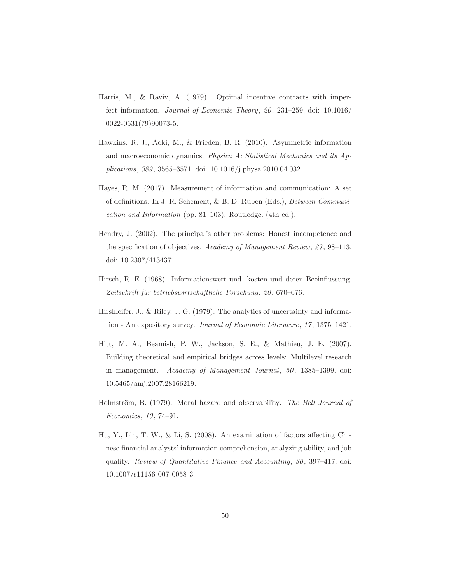- <span id="page-49-5"></span>Harris, M., & Raviv, A. (1979). Optimal incentive contracts with imperfect information. Journal of Economic Theory, 20, 231–259. doi: 10.1016/ 0022-0531(79)90073-5.
- <span id="page-49-3"></span>Hawkins, R. J., Aoki, M., & Frieden, B. R. (2010). Asymmetric information and macroeconomic dynamics. Physica A: Statistical Mechanics and its Applications, 389, 3565–3571. doi: 10.1016/j.physa.2010.04.032.
- <span id="page-49-2"></span>Hayes, R. M. (2017). Measurement of information and communication: A set of definitions. In J. R. Schement, & B. D. Ruben (Eds.), Between Communication and Information (pp. 81–103). Routledge. (4th ed.).
- <span id="page-49-0"></span>Hendry, J. (2002). The principal's other problems: Honest incompetence and the specification of objectives. Academy of Management Review, 27, 98–113. doi: 10.2307/4134371.
- <span id="page-49-8"></span>Hirsch, R. E. (1968). Informationswert und -kosten und deren Beeinflussung. Zeitschrift für betriebswirtschaftliche Forschung, 20, 670–676.
- <span id="page-49-4"></span>Hirshleifer, J., & Riley, J. G. (1979). The analytics of uncertainty and information - An expository survey. Journal of Economic Literature, 17, 1375–1421.
- <span id="page-49-6"></span>Hitt, M. A., Beamish, P. W., Jackson, S. E., & Mathieu, J. E. (2007). Building theoretical and empirical bridges across levels: Multilevel research in management. Academy of Management Journal, 50, 1385–1399. doi: 10.5465/amj.2007.28166219.
- <span id="page-49-1"></span>Holmström, B. (1979). Moral hazard and observability. The Bell Journal of Economics, 10, 74–91.
- <span id="page-49-7"></span>Hu, Y., Lin, T. W., & Li, S. (2008). An examination of factors affecting Chinese financial analysts' information comprehension, analyzing ability, and job quality. Review of Quantitative Finance and Accounting, 30, 397–417. doi: 10.1007/s11156-007-0058-3.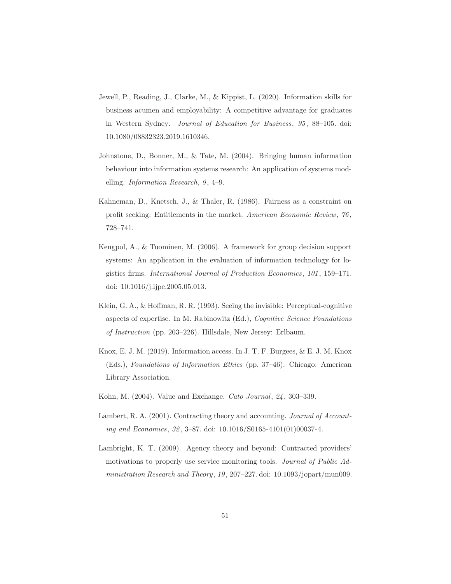- <span id="page-50-6"></span>Jewell, P., Reading, J., Clarke, M., & Kippist, L. (2020). Information skills for business acumen and employability: A competitive advantage for graduates in Western Sydney. Journal of Education for Business, 95, 88–105. doi: 10.1080/08832323.2019.1610346.
- <span id="page-50-3"></span>Johnstone, D., Bonner, M., & Tate, M. (2004). Bringing human information behaviour into information systems research: An application of systems modelling. Information Research, 9, 4–9.
- <span id="page-50-4"></span>Kahneman, D., Knetsch, J., & Thaler, R. (1986). Fairness as a constraint on profit seeking: Entitlements in the market. American Economic Review, 76, 728–741.
- <span id="page-50-5"></span>Kengpol, A., & Tuominen, M. (2006). A framework for group decision support systems: An application in the evaluation of information technology for logistics firms. International Journal of Production Economics, 101, 159–171. doi: 10.1016/j.ijpe.2005.05.013.
- <span id="page-50-7"></span>Klein, G. A., & Hoffman, R. R. (1993). Seeing the invisible: Perceptual-cognitive aspects of expertise. In M. Rabinowitz (Ed.), Cognitive Science Foundations of Instruction (pp. 203–226). Hillsdale, New Jersey: Erlbaum.
- <span id="page-50-8"></span>Knox, E. J. M. (2019). Information access. In J. T. F. Burgees, & E. J. M. Knox (Eds.), Foundations of Information Ethics (pp. 37–46). Chicago: American Library Association.
- <span id="page-50-0"></span>Kohn, M. (2004). Value and Exchange. Cato Journal, 24, 303–339.
- <span id="page-50-2"></span>Lambert, R. A. (2001). Contracting theory and accounting. Journal of Accounting and Economics, 32, 3–87. doi: 10.1016/S0165-4101(01)00037-4.
- <span id="page-50-1"></span>Lambright, K. T. (2009). Agency theory and beyond: Contracted providers' motivations to properly use service monitoring tools. Journal of Public Administration Research and Theory, 19, 207–227. doi: 10.1093/jopart/mun009.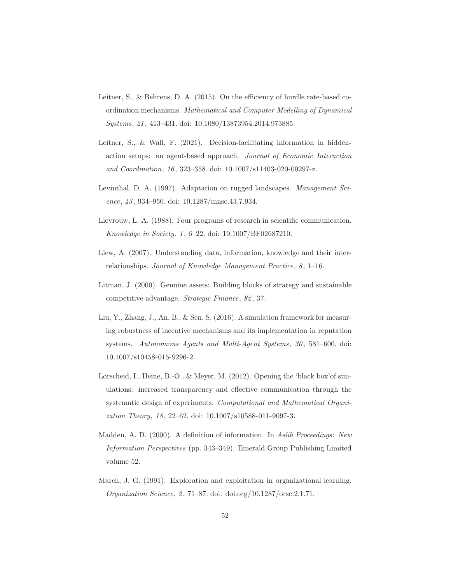- <span id="page-51-0"></span>Leitner, S., & Behrens, D. A. (2015). On the efficiency of hurdle rate-based coordination mechanisms. Mathematical and Computer Modelling of Dynamical Systems, 21, 413–431. doi: 10.1080/13873954.2014.973885.
- <span id="page-51-2"></span>Leitner, S., & Wall, F. (2021). Decision-facilitating information in hiddenaction setups: an agent-based approach. Journal of Economic Interaction and Coordination, 16, 323–358. doi: 10.1007/s11403-020-00297-z.
- <span id="page-51-8"></span>Levinthal, D. A. (1997). Adaptation on rugged landscapes. Management Science, 43, 934–950. doi: 10.1287/mnsc.43.7.934.
- <span id="page-51-5"></span>Lievrouw, L. A. (1988). Four programs of research in scientific communication. Knowledge in Society, 1, 6–22. doi: 10.1007/BF02687210.
- <span id="page-51-3"></span>Liew, A. (2007). Understanding data, information, knowledge and their interrelationships. Journal of Knowledge Management Practice, 8, 1–16.
- <span id="page-51-6"></span>Litman, J. (2000). Genuine assets: Building blocks of strategy and sustainable competitive advantage. Strategic Finance, 82, 37.
- <span id="page-51-1"></span>Liu, Y., Zhang, J., An, B., & Sen, S. (2016). A simulation framework for measuring robustness of incentive mechanisms and its implementation in reputation systems. Autonomous Agents and Multi-Agent Systems, 30, 581–600. doi: 10.1007/s10458-015-9296-2.
- <span id="page-51-7"></span>Lorscheid, I., Heine, B.-O., & Meyer, M. (2012). Opening the 'black box'of simulations: increased transparency and effective communication through the systematic design of experiments. Computational and Mathematical Organization Theory, 18, 22–62. doi: 10.1007/s10588-011-9097-3.
- <span id="page-51-4"></span>Madden, A. D. (2000). A definition of information. In Aslib Proceedings: New Information Perspectives (pp. 343–349). Emerald Group Publishing Limited volume 52.
- <span id="page-51-9"></span>March, J. G. (1991). Exploration and exploitation in organizational learning. Organization Science, 2, 71–87. doi: doi.org/10.1287/orsc.2.1.71.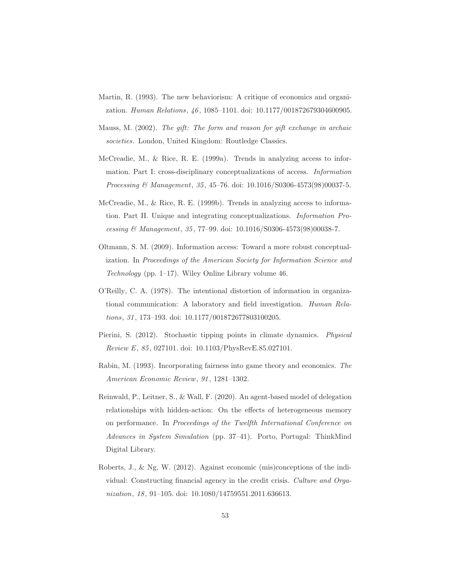- <span id="page-52-9"></span>Martin, R. (1993). The new behaviorism: A critique of economics and organization. Human Relations, 46, 1085–1101. doi: 10.1177/001872679304600905.
- <span id="page-52-7"></span>Mauss, M. (2002). The gift: The form and reason for gift exchange in archaic societies. London, United Kingdom: Routledge Classics.
- <span id="page-52-1"></span>McCreadie, M., & Rice, R. E. (1999a). Trends in analyzing access to information. Part I: cross-disciplinary conceptualizations of access. Information Processing & Management, 35, 45–76. doi: 10.1016/S0306-4573(98)00037-5.
- <span id="page-52-4"></span>McCreadie, M., & Rice, R. E. (1999b). Trends in analyzing access to information. Part II. Unique and integrating conceptualizations. Information Processing & Management, 35, 77–99. doi: 10.1016/S0306-4573(98)00038-7.
- <span id="page-52-3"></span>Oltmann, S. M. (2009). Information access: Toward a more robust conceptualization. In Proceedings of the American Society for Information Science and Technology (pp. 1–17). Wiley Online Library volume 46.
- <span id="page-52-2"></span>O'Reilly, C. A. (1978). The intentional distortion of information in organizational communication: A laboratory and field investigation. Human Relations, 31, 173–193. doi: 10.1177/001872677803100205.
- <span id="page-52-6"></span>Pierini, S. (2012). Stochastic tipping points in climate dynamics. Physical Review E, 85, 027101. doi: 10.1103/PhysRevE.85.027101.
- <span id="page-52-8"></span>Rabin, M. (1993). Incorporating fairness into game theory and economics. The American Economic Review, 91, 1281–1302.
- <span id="page-52-5"></span>Reinwald, P., Leitner, S., & Wall, F. (2020). An agent-based model of delegation relationships with hidden-action: On the effects of heterogeneous memory on performance. In Proceedings of the Twelfth International Conference on Advances in System Simulation (pp. 37–41). Porto, Portugal: ThinkMind Digital Library.
- <span id="page-52-0"></span>Roberts, J., & Ng, W. (2012). Against economic (mis)conceptions of the individual: Constructing financial agency in the credit crisis. Culture and Organization, 18, 91-105. doi: 10.1080/14759551.2011.636613.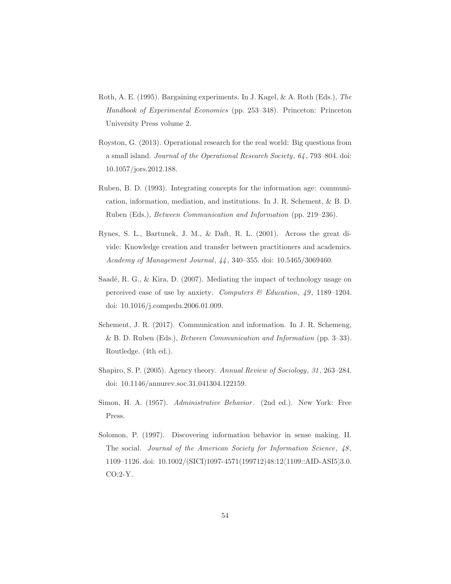- <span id="page-53-5"></span>Roth, A. E. (1995). Bargaining experiments. In J. Kagel, & A. Roth (Eds.), The Handbook of Experimental Economics (pp. 253–348). Princeton: Princeton University Press volume 2.
- <span id="page-53-1"></span>Royston, G. (2013). Operational research for the real world: Big questions from a small island. Journal of the Operational Research Society, 64, 793–804. doi: 10.1057/jors.2012.188.
- <span id="page-53-4"></span>Ruben, B. D. (1993). Integrating concepts for the information age: communication, information, mediation, and institutions. In J. R. Schement, & B. D. Ruben (Eds.), Between Communication and Information (pp. 219–236).
- <span id="page-53-6"></span>Rynes, S. L., Bartunek, J. M., & Daft, R. L. (2001). Across the great divide: Knowledge creation and transfer between practitioners and academics. Academy of Management Journal, 44, 340–355. doi: 10.5465/3069460.
- <span id="page-53-8"></span>Saadé, R. G., & Kira, D. (2007). Mediating the impact of technology usage on perceived ease of use by anxiety. Computers  $\mathcal B$  Education, 49, 1189–1204. doi: 10.1016/j.compedu.2006.01.009.
- <span id="page-53-2"></span>Schement, J. R. (2017). Communication and information. In J. R. Schemeng, & B. D. Ruben (Eds.), Between Communication and Information (pp. 3–33). Routledge. (4th ed.).
- <span id="page-53-0"></span>Shapiro, S. P. (2005). Agency theory. Annual Review of Sociology, 31, 263–284. doi: 10.1146/annurev.soc.31.041304.122159.
- <span id="page-53-7"></span>Simon, H. A. (1957). Administrative Behavior. (2nd ed.). New York: Free Press.
- <span id="page-53-3"></span>Solomon, P. (1997). Discovering information behavior in sense making. II. The social. Journal of the American Society for Information Science, 48, 1109–1126. doi: 10.1002/(SICI)1097-4571(199712)48:12 $\langle 1109::AID-ASI5 \rangle$ 3.0. CO;2-Y.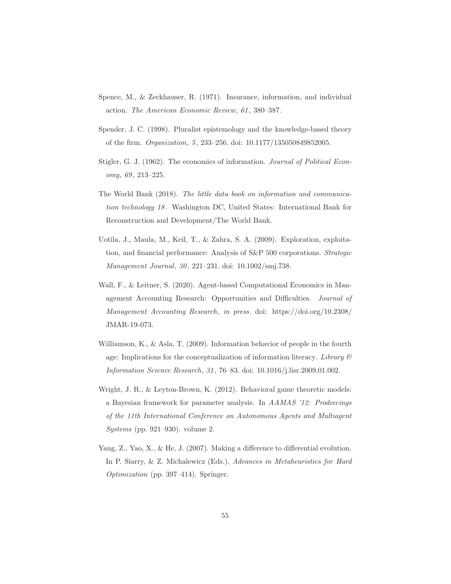- <span id="page-54-5"></span>Spence, M., & Zeckhauser, R. (1971). Insurance, information, and individual action. The American Economic Review, 61, 380–387.
- <span id="page-54-3"></span>Spender, J. C. (1998). Pluralist epistemology and the knowledge-based theory of the firm. Organization, 5, 233–256. doi: 10.1177/135050849852005.
- <span id="page-54-2"></span>Stigler, G. J. (1962). The economics of information. Journal of Political Economy, 69, 213–225.
- <span id="page-54-8"></span>The World Bank (2018). The little data book on information and communication technology 18. Washington DC, United States: International Bank for Reconstruction and Development/The World Bank.
- <span id="page-54-7"></span>Uotila, J., Maula, M., Keil, T., & Zahra, S. A. (2009). Exploration, exploitation, and financial performance: Analysis of S&P 500 corporations. *Strategic* Management Journal, 30, 221–231. doi: 10.1002/smj.738.
- <span id="page-54-0"></span>Wall, F., & Leitner, S. (2020). Agent-based Computational Economics in Management Accounting Research: Opportunities and Difficulties. Journal of Management Accounting Research, in press. doi: https://doi.org/10.2308/ JMAR-19-073.
- <span id="page-54-4"></span>Williamson, K., & Asla, T. (2009). Information behavior of people in the fourth age: Implications for the conceptualization of information literacy. Library  $\mathcal C$ Information Science Research, 31, 76–83. doi: 10.1016/j.lisr.2009.01.002.
- <span id="page-54-1"></span>Wright, J. R., & Leyton-Brown, K. (2012). Behavioral game theoretic models: a Bayesian framework for parameter analysis. In AAMAS '12: Prodeecings of the 11th International Conference on Autonomous Agents and Multiagent Systems (pp. 921–930). volume 2.
- <span id="page-54-6"></span>Yang, Z., Yao, X., & He, J. (2007). Making a difference to differential evolution. In P. Siarry, & Z. Michalewicz (Eds.), Advances in Metaheuristics for Hard Optimization (pp. 397–414). Springer.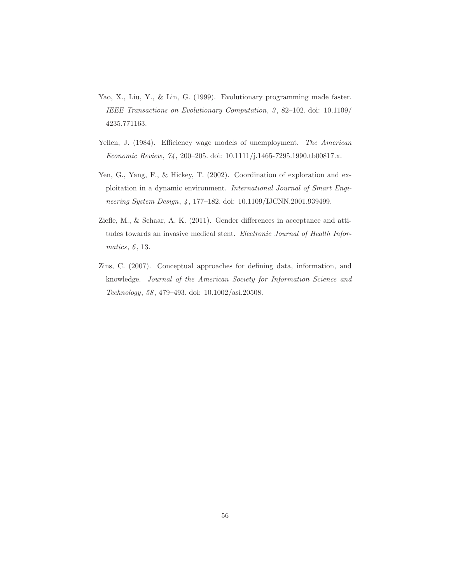- <span id="page-55-1"></span>Yao, X., Liu, Y., & Lin, G. (1999). Evolutionary programming made faster. IEEE Transactions on Evolutionary Computation, 3, 82–102. doi: 10.1109/ 4235.771163.
- <span id="page-55-3"></span>Yellen, J. (1984). Efficiency wage models of unemployment. The American Economic Review, 74, 200–205. doi: 10.1111/j.1465-7295.1990.tb00817.x.
- <span id="page-55-2"></span>Yen, G., Yang, F., & Hickey, T. (2002). Coordination of exploration and exploitation in a dynamic environment. International Journal of Smart Engineering System Design, 4, 177–182. doi: 10.1109/IJCNN.2001.939499.
- <span id="page-55-4"></span>Ziefle, M., & Schaar, A. K. (2011). Gender differences in acceptance and attitudes towards an invasive medical stent. Electronic Journal of Health Informatics, 6, 13.
- <span id="page-55-0"></span>Zins, C. (2007). Conceptual approaches for defining data, information, and knowledge. Journal of the American Society for Information Science and Technology, 58, 479–493. doi: 10.1002/asi.20508.